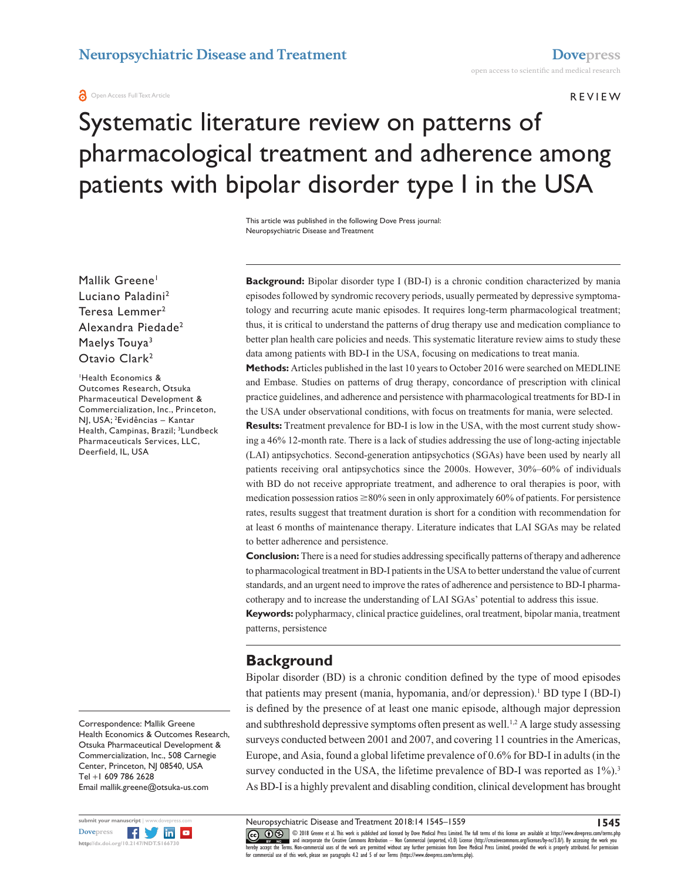#### **a** Open Access Full Text Article

# Systematic literature review on patterns of pharmacological treatment and adherence among patients with bipolar disorder type I in the USA

This article was published in the following Dove Press journal: Neuropsychiatric Disease and Treatment

Mallik Greene<sup>1</sup> Luciano Paladini2 Teresa Lemmer<sup>2</sup> Alexandra Piedade2 Maelys Touya<sup>3</sup> Otavio Clark2

1 Health Economics & Outcomes Research, Otsuka Pharmaceutical Development & Commercialization, Inc., Princeton, NJ, USA; 2 Evidências – Kantar Health, Campinas, Brazil; <sup>3</sup>Lundbeck Pharmaceuticals Services, LLC, Deerfield, IL, USA

Correspondence: Mallik Greene Health Economics & Outcomes Research, Otsuka Pharmaceutical Development & Commercialization, Inc., 508 Carnegie Center, Princeton, NJ 08540, USA Tel +1 609 786 2628 Email [mallik.greene@otsuka-us.com](mailto:mallik.greene@otsuka-us.com)



**Background:** Bipolar disorder type I (BD-I) is a chronic condition characterized by mania episodes followed by syndromic recovery periods, usually permeated by depressive symptomatology and recurring acute manic episodes. It requires long-term pharmacological treatment; thus, it is critical to understand the patterns of drug therapy use and medication compliance to better plan health care policies and needs. This systematic literature review aims to study these data among patients with BD-I in the USA, focusing on medications to treat mania.

**Methods:** Articles published in the last 10 years to October 2016 were searched on MEDLINE and Embase. Studies on patterns of drug therapy, concordance of prescription with clinical practice guidelines, and adherence and persistence with pharmacological treatments for BD-I in the USA under observational conditions, with focus on treatments for mania, were selected.

**Results:** Treatment prevalence for BD-I is low in the USA, with the most current study showing a 46% 12-month rate. There is a lack of studies addressing the use of long-acting injectable (LAI) antipsychotics. Second-generation antipsychotics (SGAs) have been used by nearly all patients receiving oral antipsychotics since the 2000s. However, 30%–60% of individuals with BD do not receive appropriate treatment, and adherence to oral therapies is poor, with medication possession ratios  $\geq$ 80% seen in only approximately 60% of patients. For persistence rates, results suggest that treatment duration is short for a condition with recommendation for at least 6 months of maintenance therapy. Literature indicates that LAI SGAs may be related to better adherence and persistence.

**Conclusion:** There is a need for studies addressing specifically patterns of therapy and adherence to pharmacological treatment in BD-I patients in the USA to better understand the value of current standards, and an urgent need to improve the rates of adherence and persistence to BD-I pharmacotherapy and to increase the understanding of LAI SGAs' potential to address this issue.

**Keywords:** polypharmacy, clinical practice guidelines, oral treatment, bipolar mania, treatment patterns, persistence

#### **Background**

Bipolar disorder (BD) is a chronic condition defined by the type of mood episodes that patients may present (mania, hypomania, and/or depression).<sup>1</sup> BD type I (BD-I) is defined by the presence of at least one manic episode, although major depression and subthreshold depressive symptoms often present as well.<sup>1,2</sup> A large study assessing surveys conducted between 2001 and 2007, and covering 11 countries in the Americas, Europe, and Asia, found a global lifetime prevalence of 0.6% for BD-I in adults (in the survey conducted in the USA, the lifetime prevalence of BD-I was reported as  $1\%$ ).<sup>3</sup> As BD-I is a highly prevalent and disabling condition, clinical development has brought

Neuropsychiatric Disease and Treatment 2018:14 1545–1559

**1545**

CCC 1 © 2018 Greene et al. This work is published and licensed by Dove Medical Press Limited. The full terms of this license are available at <https://www.dovepress.com/terms.php><br>[hereby accept the Terms](http://www.dovepress.com/permissions.php). Non-commercial uses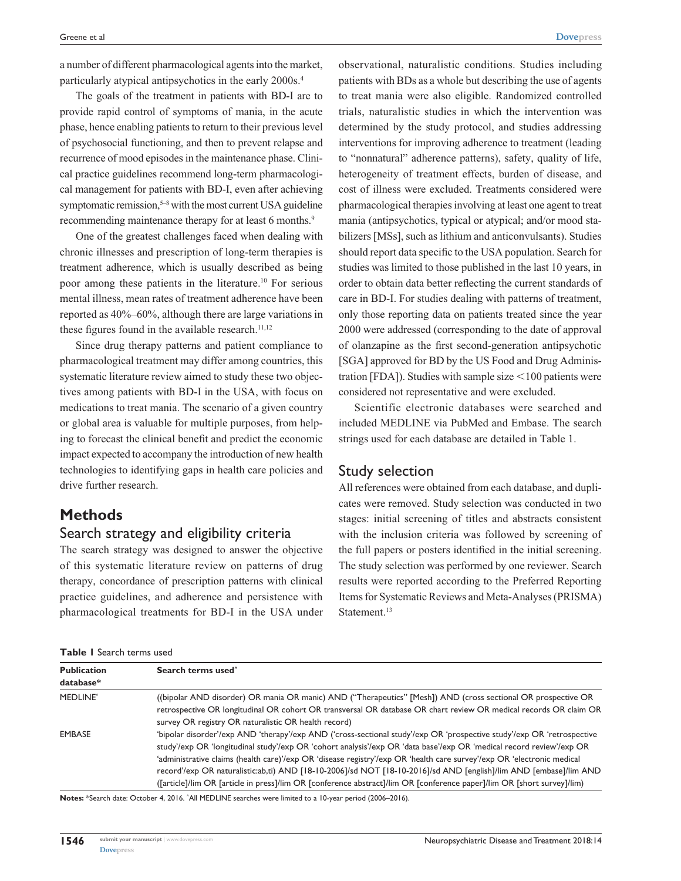a number of different pharmacological agents into the market, particularly atypical antipsychotics in the early 2000s.4

The goals of the treatment in patients with BD-I are to provide rapid control of symptoms of mania, in the acute phase, hence enabling patients to return to their previous level of psychosocial functioning, and then to prevent relapse and recurrence of mood episodes in the maintenance phase. Clinical practice guidelines recommend long-term pharmacological management for patients with BD-I, even after achieving symptomatic remission, $5-8$  with the most current USA guideline recommending maintenance therapy for at least 6 months.<sup>9</sup>

One of the greatest challenges faced when dealing with chronic illnesses and prescription of long-term therapies is treatment adherence, which is usually described as being poor among these patients in the literature.10 For serious mental illness, mean rates of treatment adherence have been reported as 40%–60%, although there are large variations in these figures found in the available research. $11,12$ 

Since drug therapy patterns and patient compliance to pharmacological treatment may differ among countries, this systematic literature review aimed to study these two objectives among patients with BD-I in the USA, with focus on medications to treat mania. The scenario of a given country or global area is valuable for multiple purposes, from helping to forecast the clinical benefit and predict the economic impact expected to accompany the introduction of new health technologies to identifying gaps in health care policies and drive further research.

## **Methods**

## Search strategy and eligibility criteria

The search strategy was designed to answer the objective of this systematic literature review on patterns of drug therapy, concordance of prescription patterns with clinical practice guidelines, and adherence and persistence with pharmacological treatments for BD-I in the USA under

#### **Table 1** Search terms used

observational, naturalistic conditions. Studies including patients with BDs as a whole but describing the use of agents to treat mania were also eligible. Randomized controlled trials, naturalistic studies in which the intervention was determined by the study protocol, and studies addressing interventions for improving adherence to treatment (leading to "nonnatural" adherence patterns), safety, quality of life, heterogeneity of treatment effects, burden of disease, and cost of illness were excluded. Treatments considered were pharmacological therapies involving at least one agent to treat mania (antipsychotics, typical or atypical; and/or mood stabilizers [MSs], such as lithium and anticonvulsants). Studies should report data specific to the USA population. Search for studies was limited to those published in the last 10 years, in order to obtain data better reflecting the current standards of care in BD-I. For studies dealing with patterns of treatment, only those reporting data on patients treated since the year 2000 were addressed (corresponding to the date of approval of olanzapine as the first second-generation antipsychotic [SGA] approved for BD by the US Food and Drug Administration [FDA]). Studies with sample size  $\leq 100$  patients were considered not representative and were excluded.

Scientific electronic databases were searched and included MEDLINE via PubMed and Embase. The search strings used for each database are detailed in Table 1.

### Study selection

All references were obtained from each database, and duplicates were removed. Study selection was conducted in two stages: initial screening of titles and abstracts consistent with the inclusion criteria was followed by screening of the full papers or posters identified in the initial screening. The study selection was performed by one reviewer. Search results were reported according to the Preferred Reporting Items for Systematic Reviews and Meta-Analyses (PRISMA) Statement.<sup>13</sup>

| <b>Publication</b>          | Search terms used <sup>^</sup>                                                                                                                                                                                                                                                                                                                                           |  |  |  |  |  |
|-----------------------------|--------------------------------------------------------------------------------------------------------------------------------------------------------------------------------------------------------------------------------------------------------------------------------------------------------------------------------------------------------------------------|--|--|--|--|--|
| database*                   |                                                                                                                                                                                                                                                                                                                                                                          |  |  |  |  |  |
| <b>MEDLINE</b> <sup>^</sup> | ((bipolar AND disorder) OR mania OR manic) AND ("Therapeutics" [Mesh]) AND (cross sectional OR prospective OR                                                                                                                                                                                                                                                            |  |  |  |  |  |
|                             | retrospective OR longitudinal OR cohort OR transversal OR database OR chart review OR medical records OR claim OR<br>survey OR registry OR naturalistic OR health record)                                                                                                                                                                                                |  |  |  |  |  |
| <b>EMBASE</b>               | 'bipolar disorder'/exp AND 'therapy'/exp AND ('cross-sectional study'/exp OR 'prospective study'/exp OR 'retrospective<br>study'/exp OR 'longitudinal study'/exp OR 'cohort analysis'/exp OR 'data base'/exp OR 'medical record review'/exp OR<br>'administrative claims (health care)'/exp OR 'disease registry'/exp OR 'health care survey'/exp OR 'electronic medical |  |  |  |  |  |
|                             | record'/exp OR naturalistic:ab,ti) AND [18-10-2006]/sd NOT [18-10-2016]/sd AND [english]/lim AND [embase]/lim AND<br>([article]/lim OR [article in press]/lim OR [conference abstract]/lim OR [conference paper]/lim OR [short survey]/lim)                                                                                                                              |  |  |  |  |  |

**Notes:** \*Search date: October 4, 2016. ^ All MEDLINE searches were limited to a 10-year period (2006–2016).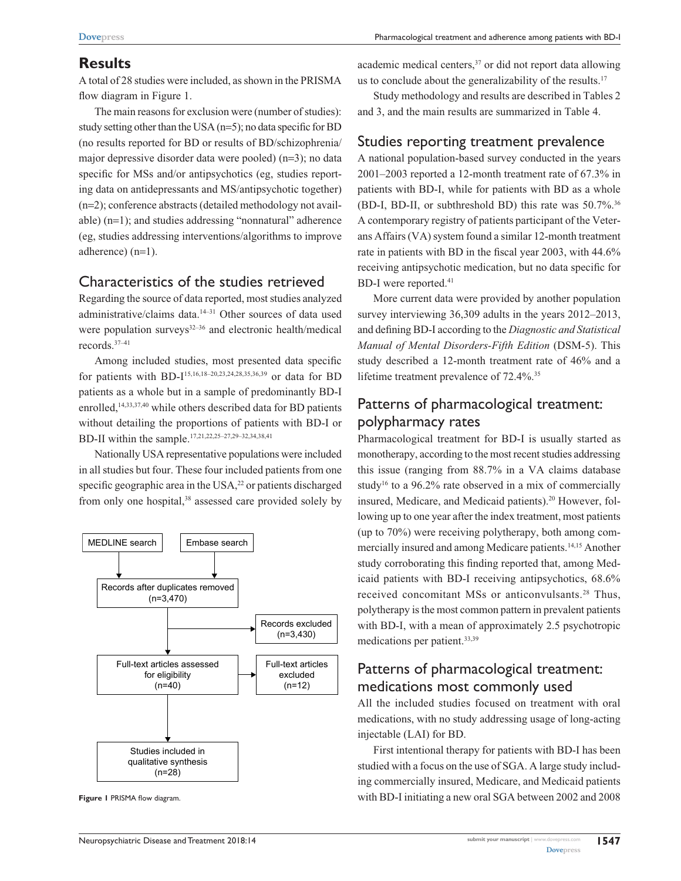## **Results**

A total of 28 studies were included, as shown in the PRISMA flow diagram in Figure 1.

The main reasons for exclusion were (number of studies): study setting other than the USA (n=5); no data specific for BD (no results reported for BD or results of BD/schizophrenia/ major depressive disorder data were pooled) (n=3); no data specific for MSs and/or antipsychotics (eg, studies reporting data on antidepressants and MS/antipsychotic together) (n=2); conference abstracts (detailed methodology not available) (n=1); and studies addressing "nonnatural" adherence (eg, studies addressing interventions/algorithms to improve adherence) (n=1).

## Characteristics of the studies retrieved

Regarding the source of data reported, most studies analyzed administrative/claims data.14–31 Other sources of data used were population surveys<sup>32-36</sup> and electronic health/medical records.37–41

Among included studies, most presented data specific for patients with BD-I<sup>15,16,18-20,23,24,28,35,36,39</sup> or data for BD patients as a whole but in a sample of predominantly BD-I enrolled,<sup>14,33,37,40</sup> while others described data for BD patients without detailing the proportions of patients with BD-I or BD-II within the sample.17,21,22,25–27,29–32,34,38,41

Nationally USA representative populations were included in all studies but four. These four included patients from one specific geographic area in the USA, $22$  or patients discharged from only one hospital,<sup>38</sup> assessed care provided solely by



academic medical centers, $37$  or did not report data allowing us to conclude about the generalizability of the results.<sup>17</sup>

Study methodology and results are described in Tables 2 and 3, and the main results are summarized in Table 4.

## Studies reporting treatment prevalence

A national population-based survey conducted in the years 2001–2003 reported a 12-month treatment rate of 67.3% in patients with BD-I, while for patients with BD as a whole (BD-I, BD-II, or subthreshold BD) this rate was  $50.7\%$ <sup>36</sup> A contemporary registry of patients participant of the Veterans Affairs (VA) system found a similar 12-month treatment rate in patients with BD in the fiscal year 2003, with 44.6% receiving antipsychotic medication, but no data specific for BD-I were reported.<sup>41</sup>

More current data were provided by another population survey interviewing 36,309 adults in the years 2012–2013, and defining BD-I according to the *Diagnostic and Statistical Manual of Mental Disorders-Fifth Edition* (DSM-5). This study described a 12-month treatment rate of 46% and a lifetime treatment prevalence of 72.4%.<sup>35</sup>

# Patterns of pharmacological treatment: polypharmacy rates

Pharmacological treatment for BD-I is usually started as monotherapy, according to the most recent studies addressing this issue (ranging from 88.7% in a VA claims database study<sup>16</sup> to a 96.2% rate observed in a mix of commercially insured, Medicare, and Medicaid patients).<sup>20</sup> However, following up to one year after the index treatment, most patients (up to 70%) were receiving polytherapy, both among commercially insured and among Medicare patients.14,15 Another study corroborating this finding reported that, among Medicaid patients with BD-I receiving antipsychotics, 68.6% received concomitant MSs or anticonvulsants.<sup>28</sup> Thus, polytherapy is the most common pattern in prevalent patients with BD-I, with a mean of approximately 2.5 psychotropic medications per patient.33,39

# Patterns of pharmacological treatment: medications most commonly used

All the included studies focused on treatment with oral medications, with no study addressing usage of long-acting injectable (LAI) for BD.

First intentional therapy for patients with BD-I has been studied with a focus on the use of SGA. A large study including commercially insured, Medicare, and Medicaid patients **Figure 1 PRISMA flow diagram.** with BD-I initiating a new oral SGA between 2002 and 2008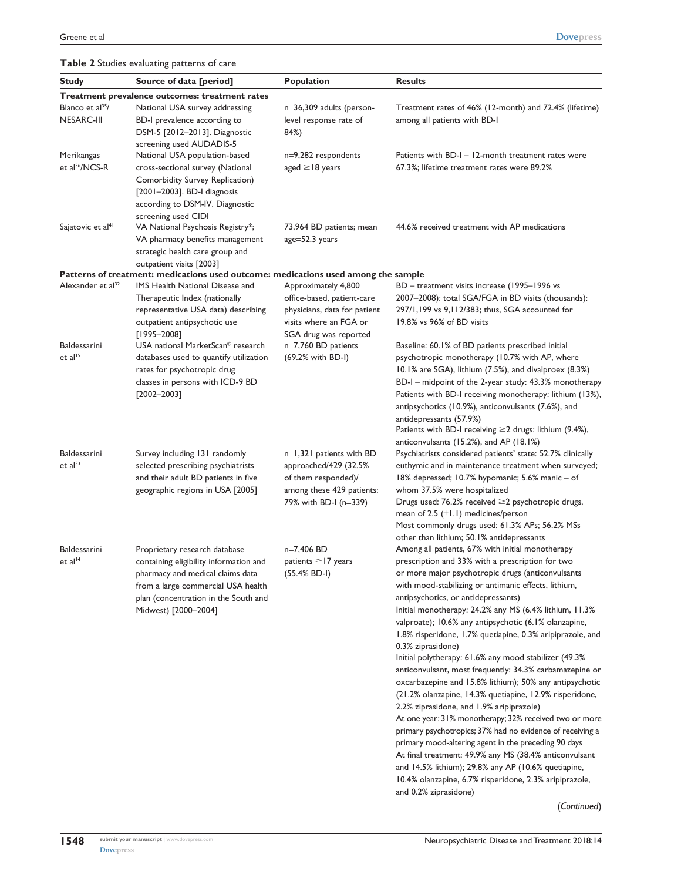## **Table 2** Studies evaluating patterns of care

| <b>Study</b>                        | Source of data [period]                                                                                               | Population                               | <b>Results</b>                                                                                                     |  |  |  |
|-------------------------------------|-----------------------------------------------------------------------------------------------------------------------|------------------------------------------|--------------------------------------------------------------------------------------------------------------------|--|--|--|
|                                     | Treatment prevalence outcomes: treatment rates                                                                        |                                          |                                                                                                                    |  |  |  |
| Blanco et al <sup>35</sup> /        | National USA survey addressing                                                                                        | $n=36,309$ adults (person-               | Treatment rates of 46% (12-month) and 72.4% (lifetime)                                                             |  |  |  |
| NESARC-III                          | BD-I prevalence according to<br>DSM-5 [2012-2013]. Diagnostic                                                         | level response rate of<br>84%)           | among all patients with BD-I                                                                                       |  |  |  |
|                                     | screening used AUDADIS-5                                                                                              |                                          |                                                                                                                    |  |  |  |
| Merikangas                          | National USA population-based                                                                                         | $n=9,282$ respondents                    | Patients with BD-I - 12-month treatment rates were                                                                 |  |  |  |
| et al <sup>36</sup> /NCS-R          | cross-sectional survey (National                                                                                      | aged $\geq$ 18 years                     | 67.3%; lifetime treatment rates were 89.2%                                                                         |  |  |  |
|                                     | Comorbidity Survey Replication)                                                                                       |                                          |                                                                                                                    |  |  |  |
|                                     | [2001–2003]. BD-I diagnosis                                                                                           |                                          |                                                                                                                    |  |  |  |
|                                     | according to DSM-IV. Diagnostic<br>screening used CIDI                                                                |                                          |                                                                                                                    |  |  |  |
| Sajatovic et al <sup>41</sup>       | VA National Psychosis Registry*;                                                                                      | 73,964 BD patients; mean                 | 44.6% received treatment with AP medications                                                                       |  |  |  |
|                                     | VA pharmacy benefits management                                                                                       | age=52.3 years                           |                                                                                                                    |  |  |  |
|                                     | strategic health care group and                                                                                       |                                          |                                                                                                                    |  |  |  |
|                                     | outpatient visits [2003]                                                                                              |                                          |                                                                                                                    |  |  |  |
| Alexander et al <sup>32</sup>       | Patterns of treatment: medications used outcome: medications used among the sample<br>IMS Health National Disease and | Approximately 4,800                      | BD – treatment visits increase (1995–1996 vs                                                                       |  |  |  |
|                                     | Therapeutic Index (nationally                                                                                         | office-based, patient-care               | 2007–2008): total SGA/FGA in BD visits (thousands):                                                                |  |  |  |
|                                     | representative USA data) describing                                                                                   | physicians, data for patient             | 297/1,199 vs 9,112/383; thus, SGA accounted for                                                                    |  |  |  |
|                                     | outpatient antipsychotic use                                                                                          | visits where an FGA or                   | 19.8% vs 96% of BD visits                                                                                          |  |  |  |
|                                     | $[1995 - 2008]$                                                                                                       | SGA drug was reported                    |                                                                                                                    |  |  |  |
| Baldessarini<br>et al <sup>15</sup> | USA national MarketScan <sup>®</sup> research<br>databases used to quantify utilization                               | n=7,760 BD patients<br>(69.2% with BD-I) | Baseline: 60.1% of BD patients prescribed initial<br>psychotropic monotherapy (10.7% with AP, where                |  |  |  |
|                                     | rates for psychotropic drug                                                                                           |                                          | 10.1% are SGA), lithium (7.5%), and divalproex (8.3%)                                                              |  |  |  |
|                                     | classes in persons with ICD-9 BD                                                                                      |                                          | BD-I - midpoint of the 2-year study: 43.3% monotherapy                                                             |  |  |  |
|                                     | $[2002 - 2003]$                                                                                                       |                                          | Patients with BD-I receiving monotherapy: lithium (13%),                                                           |  |  |  |
|                                     |                                                                                                                       |                                          | antipsychotics (10.9%), anticonvulsants (7.6%), and                                                                |  |  |  |
|                                     |                                                                                                                       |                                          | antidepressants (57.9%)                                                                                            |  |  |  |
|                                     |                                                                                                                       |                                          | Patients with BD-I receiving $\geq$ 2 drugs: lithium (9.4%),<br>anticonvulsants $(15.2%)$ , and AP $(18.1%)$       |  |  |  |
| Baldessarini                        | Survey including 131 randomly                                                                                         | n=1,321 patients with BD                 | Psychiatrists considered patients' state: 52.7% clinically                                                         |  |  |  |
| et al <sup>33</sup>                 | selected prescribing psychiatrists                                                                                    | approached/429 (32.5%                    | euthymic and in maintenance treatment when surveyed;                                                               |  |  |  |
|                                     | and their adult BD patients in five                                                                                   | of them responded)/                      | 18% depressed; 10.7% hypomanic; 5.6% manic - of                                                                    |  |  |  |
|                                     | geographic regions in USA [2005]                                                                                      | among these 429 patients:                | whom 37.5% were hospitalized                                                                                       |  |  |  |
|                                     |                                                                                                                       | 79% with BD-I (n=339)                    | Drugs used: 76.2% received $\geq$ 2 psychotropic drugs,<br>mean of 2.5 $(\pm 1.1)$ medicines/person                |  |  |  |
|                                     |                                                                                                                       |                                          | Most commonly drugs used: 61.3% APs; 56.2% MSs                                                                     |  |  |  |
|                                     |                                                                                                                       |                                          | other than lithium; 50.1% antidepressants                                                                          |  |  |  |
| <b>Baldessarini</b>                 | Proprietary research database                                                                                         | n=7,406 BD                               | Among all patients, 67% with initial monotherapy                                                                   |  |  |  |
| et al' <sup>4</sup>                 | containing eligibility information and                                                                                | patients $\geq$ 17 years                 | prescription and 33% with a prescription for two                                                                   |  |  |  |
|                                     | pharmacy and medical claims data                                                                                      | $(55.4\%$ BD-I)                          | or more major psychotropic drugs (anticonvulsants                                                                  |  |  |  |
|                                     | from a large commercial USA health<br>plan (concentration in the South and                                            |                                          | with mood-stabilizing or antimanic effects, lithium,<br>antipsychotics, or antidepressants)                        |  |  |  |
|                                     | Midwest) [2000-2004]                                                                                                  |                                          | Initial monotherapy: 24.2% any MS (6.4% lithium, 11.3%                                                             |  |  |  |
|                                     |                                                                                                                       |                                          | valproate); 10.6% any antipsychotic (6.1% olanzapine,                                                              |  |  |  |
|                                     |                                                                                                                       |                                          | 1.8% risperidone, 1.7% quetiapine, 0.3% aripiprazole, and                                                          |  |  |  |
|                                     |                                                                                                                       |                                          | 0.3% ziprasidone)                                                                                                  |  |  |  |
|                                     |                                                                                                                       |                                          | Initial polytherapy: 61.6% any mood stabilizer (49.3%                                                              |  |  |  |
|                                     |                                                                                                                       |                                          | anticonvulsant, most frequently: 34.3% carbamazepine or<br>oxcarbazepine and 15.8% lithium); 50% any antipsychotic |  |  |  |
|                                     |                                                                                                                       |                                          | (21.2% olanzapine, 14.3% quetiapine, 12.9% risperidone,                                                            |  |  |  |
|                                     |                                                                                                                       |                                          | 2.2% ziprasidone, and 1.9% aripiprazole)                                                                           |  |  |  |
|                                     |                                                                                                                       |                                          | At one year: 31% monotherapy; 32% received two or more                                                             |  |  |  |
|                                     |                                                                                                                       |                                          | primary psychotropics; 37% had no evidence of receiving a                                                          |  |  |  |
|                                     |                                                                                                                       |                                          | primary mood-altering agent in the preceding 90 days                                                               |  |  |  |
|                                     |                                                                                                                       |                                          | At final treatment: 49.9% any MS (38.4% anticonvulsant<br>and 14.5% lithium); 29.8% any AP (10.6% quetiapine,      |  |  |  |
|                                     |                                                                                                                       |                                          | 10.4% olanzapine, 6.7% risperidone, 2.3% aripiprazole,                                                             |  |  |  |
|                                     |                                                                                                                       |                                          | and 0.2% ziprasidone)                                                                                              |  |  |  |
|                                     |                                                                                                                       |                                          | (Continued)                                                                                                        |  |  |  |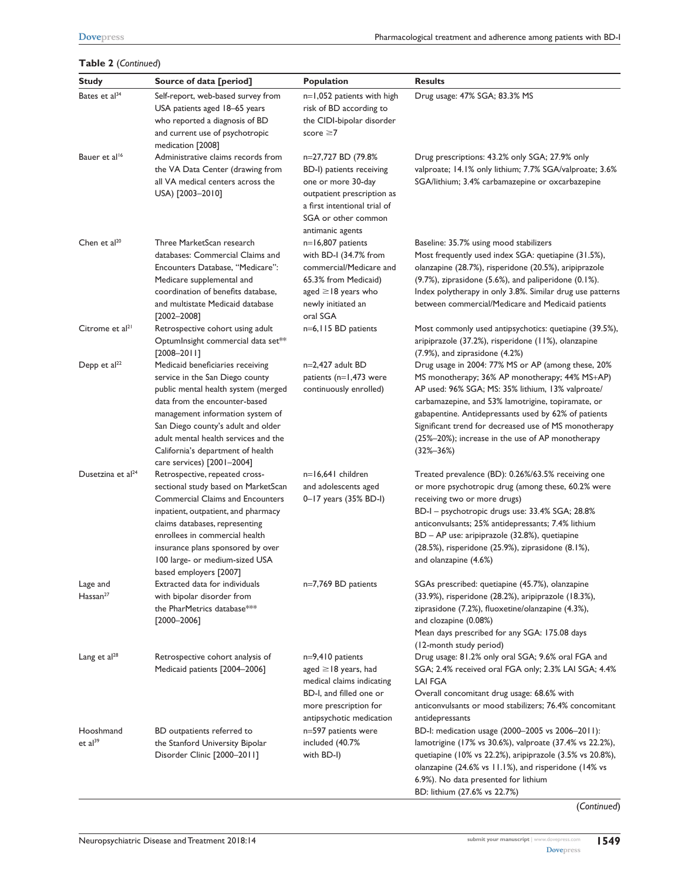#### **Table 2** (*Continued*)

| <b>Study</b>                     | Source of data [period]                                                                                                                                                                                                                                                                                                      | Population                                                                                                                                                                    | <b>Results</b>                                                                                                                                                                                                                                                                                                                                                                   |  |  |  |
|----------------------------------|------------------------------------------------------------------------------------------------------------------------------------------------------------------------------------------------------------------------------------------------------------------------------------------------------------------------------|-------------------------------------------------------------------------------------------------------------------------------------------------------------------------------|----------------------------------------------------------------------------------------------------------------------------------------------------------------------------------------------------------------------------------------------------------------------------------------------------------------------------------------------------------------------------------|--|--|--|
| Bates et al <sup>34</sup>        | Self-report, web-based survey from<br>USA patients aged 18-65 years<br>who reported a diagnosis of BD<br>and current use of psychotropic<br>medication [2008]                                                                                                                                                                | n=1,052 patients with high<br>risk of BD according to<br>the CIDI-bipolar disorder<br>score $\geq 7$                                                                          | Drug usage: 47% SGA; 83.3% MS                                                                                                                                                                                                                                                                                                                                                    |  |  |  |
| Bauer et al <sup>16</sup>        | Administrative claims records from<br>the VA Data Center (drawing from<br>all VA medical centers across the<br>USA) [2003-2010]                                                                                                                                                                                              | n=27,727 BD (79.8%<br>BD-I) patients receiving<br>one or more 30-day<br>outpatient prescription as<br>a first intentional trial of<br>SGA or other common<br>antimanic agents | Drug prescriptions: 43.2% only SGA; 27.9% only<br>valproate; 14.1% only lithium; 7.7% SGA/valproate; 3.6%<br>SGA/lithium; 3.4% carbamazepine or oxcarbazepine                                                                                                                                                                                                                    |  |  |  |
| Chen et al <sup>20</sup>         | Three MarketScan research<br>databases: Commercial Claims and<br>Encounters Database, "Medicare":<br>Medicare supplemental and<br>coordination of benefits database,<br>and multistate Medicaid database<br>$[2002 - 2008]$                                                                                                  | $n=16,807$ patients<br>with BD-I (34.7% from<br>commercial/Medicare and<br>65.3% from Medicaid)<br>aged $\geq$ 18 years who<br>newly initiated an<br>oral SGA                 | Baseline: 35.7% using mood stabilizers<br>Most frequently used index SGA: quetiapine (31.5%),<br>olanzapine (28.7%), risperidone (20.5%), aripiprazole<br>(9.7%), ziprasidone (5.6%), and paliperidone (0.1%).<br>Index polytherapy in only 3.8%. Similar drug use patterns<br>between commercial/Medicare and Medicaid patients                                                 |  |  |  |
| Citrome et al <sup>21</sup>      | Retrospective cohort using adult<br>OptumInsight commercial data set**<br>$[2008 - 2011]$                                                                                                                                                                                                                                    | n=6,115 BD patients                                                                                                                                                           | Most commonly used antipsychotics: quetiapine (39.5%),<br>aripiprazole (37.2%), risperidone (11%), olanzapine<br>$(7.9%)$ , and ziprasidone $(4.2%)$                                                                                                                                                                                                                             |  |  |  |
| Depp et $al22$                   | Medicaid beneficiaries receiving<br>service in the San Diego county<br>public mental health system (merged<br>data from the encounter-based<br>management information system of<br>San Diego county's adult and older                                                                                                        | n=2,427 adult BD<br>patients ( $n=1,473$ were<br>continuously enrolled)                                                                                                       | Drug usage in 2004: 77% MS or AP (among these, 20%<br>MS monotherapy; 36% AP monotherapy; 44% MS+AP)<br>AP used: 96% SGA; MS: 35% lithium, 13% valproate/<br>carbamazepine, and 53% lamotrigine, topiramate, or<br>gabapentine. Antidepressants used by 62% of patients<br>Significant trend for decreased use of MS monotherapy                                                 |  |  |  |
|                                  | adult mental health services and the<br>California's department of health<br>care services) [2001-2004]                                                                                                                                                                                                                      |                                                                                                                                                                               | (25%-20%); increase in the use of AP monotherapy<br>$(32\% - 36\%)$                                                                                                                                                                                                                                                                                                              |  |  |  |
| Dusetzina et al <sup>24</sup>    | Retrospective, repeated cross-<br>sectional study based on MarketScan<br><b>Commercial Claims and Encounters</b><br>inpatient, outpatient, and pharmacy<br>claims databases, representing<br>enrollees in commercial health<br>insurance plans sponsored by over<br>100 large- or medium-sized USA<br>based employers [2007] | n=16,641 children<br>and adolescents aged<br>0-17 years (35% BD-I)                                                                                                            | Treated prevalence (BD): 0.26%/63.5% receiving one<br>or more psychotropic drug (among these, 60.2% were<br>receiving two or more drugs)<br>BD-I - psychotropic drugs use: 33.4% SGA; 28.8%<br>anticonvulsants; 25% antidepressants; 7.4% lithium<br>BD - AP use: aripiprazole (32.8%), quetiapine<br>(28.5%), risperidone (25.9%), ziprasidone (8.1%),<br>and olanzapine (4.6%) |  |  |  |
| Lage and<br>Hassan <sup>27</sup> | Extracted data for individuals<br>with bipolar disorder from<br>the PharMetrics database***<br>$[2000 - 2006]$                                                                                                                                                                                                               | n=7,769 BD patients                                                                                                                                                           | SGAs prescribed: quetiapine (45.7%), olanzapine<br>(33.9%), risperidone (28.2%), aripiprazole (18.3%),<br>ziprasidone (7.2%), fluoxetine/olanzapine (4.3%),<br>and clozapine (0.08%)<br>Mean days prescribed for any SGA: 175.08 days<br>(12-month study period)                                                                                                                 |  |  |  |
| Lang et al <sup>28</sup>         | Retrospective cohort analysis of<br>Medicaid patients [2004-2006]                                                                                                                                                                                                                                                            | $n=9,410$ patients<br>aged $\geq$ 18 years, had<br>medical claims indicating<br>BD-I, and filled one or<br>more prescription for<br>antipsychotic medication                  | Drug usage: 81.2% only oral SGA; 9.6% oral FGA and<br>SGA; 2.4% received oral FGA only; 2.3% LAI SGA; 4.4%<br>LAI FGA<br>Overall concomitant drug usage: 68.6% with<br>anticonvulsants or mood stabilizers; 76.4% concomitant<br>antidepressants                                                                                                                                 |  |  |  |
| Hooshmand<br>et al <sup>39</sup> | BD outpatients referred to<br>the Stanford University Bipolar<br>Disorder Clinic [2000-2011]                                                                                                                                                                                                                                 | n=597 patients were<br>included (40.7%<br>with BD-I)                                                                                                                          | BD-I: medication usage (2000-2005 vs 2006-2011):<br>lamotrigine (17% vs 30.6%), valproate (37.4% vs 22.2%),<br>quetiapine (10% vs 22.2%), aripiprazole (3.5% vs 20.8%),<br>olanzapine (24.6% vs 11.1%), and risperidone (14% vs<br>6.9%). No data presented for lithium<br>BD: lithium (27.6% vs 22.7%)                                                                          |  |  |  |

(*Continued*)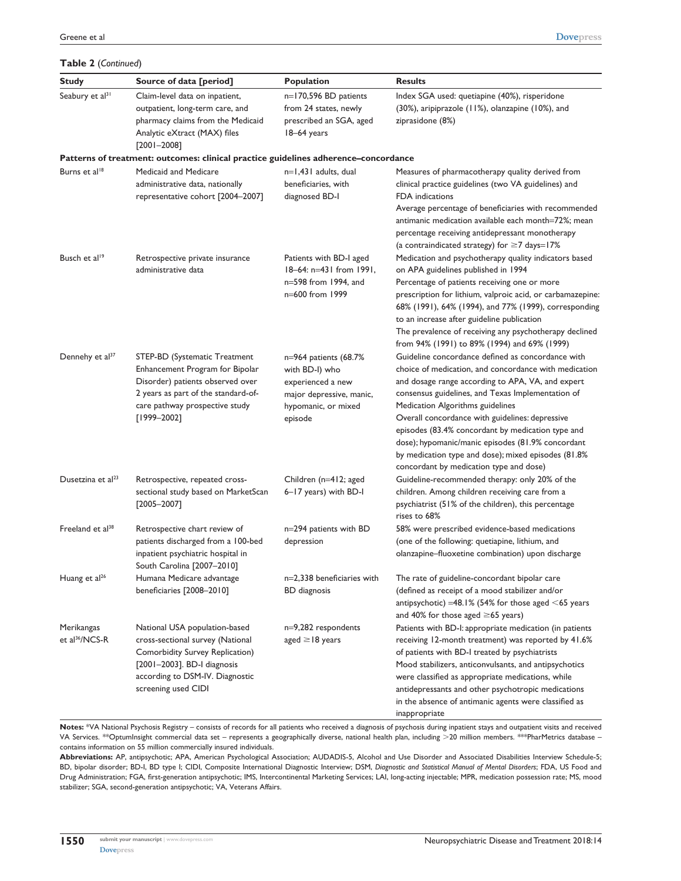#### **Table 2** (*Continued*)

| <b>Study</b>                             | Source of data [period]                                                                                                                                                                          | Population                                                                                                                 | <b>Results</b>                                                                                                                                                                                                                                                                                                                                                                                                                                                                                                          |  |  |  |
|------------------------------------------|--------------------------------------------------------------------------------------------------------------------------------------------------------------------------------------------------|----------------------------------------------------------------------------------------------------------------------------|-------------------------------------------------------------------------------------------------------------------------------------------------------------------------------------------------------------------------------------------------------------------------------------------------------------------------------------------------------------------------------------------------------------------------------------------------------------------------------------------------------------------------|--|--|--|
| Seabury et al <sup>31</sup>              | Claim-level data on inpatient,<br>outpatient, long-term care, and<br>pharmacy claims from the Medicaid<br>Analytic eXtract (MAX) files<br>$[2001 - 2008]$                                        | n=170,596 BD patients<br>from 24 states, newly<br>prescribed an SGA, aged<br>18–64 years                                   | Index SGA used: quetiapine (40%), risperidone<br>(30%), aripiprazole (11%), olanzapine (10%), and<br>ziprasidone (8%)                                                                                                                                                                                                                                                                                                                                                                                                   |  |  |  |
|                                          | Patterns of treatment: outcomes: clinical practice guidelines adherence-concordance                                                                                                              |                                                                                                                            |                                                                                                                                                                                                                                                                                                                                                                                                                                                                                                                         |  |  |  |
| Burns et al <sup>18</sup>                | <b>Medicaid and Medicare</b><br>administrative data, nationally<br>representative cohort [2004-2007]                                                                                             | n=1,431 adults, dual<br>beneficiaries, with<br>diagnosed BD-I                                                              | Measures of pharmacotherapy quality derived from<br>clinical practice guidelines (two VA guidelines) and<br><b>FDA</b> indications<br>Average percentage of beneficiaries with recommended<br>antimanic medication available each month=72%; mean<br>percentage receiving antidepressant monotherapy                                                                                                                                                                                                                    |  |  |  |
| Busch et al <sup>19</sup>                | Retrospective private insurance<br>administrative data                                                                                                                                           | Patients with BD-I aged<br>$18-64$ : n=431 from 1991,                                                                      | (a contraindicated strategy) for $\geq$ 7 days=17%<br>Medication and psychotherapy quality indicators based<br>on APA guidelines published in 1994                                                                                                                                                                                                                                                                                                                                                                      |  |  |  |
|                                          |                                                                                                                                                                                                  | n=598 from 1994, and<br>n=600 from 1999                                                                                    | Percentage of patients receiving one or more<br>prescription for lithium, valproic acid, or carbamazepine:<br>68% (1991), 64% (1994), and 77% (1999), corresponding<br>to an increase after guideline publication<br>The prevalence of receiving any psychotherapy declined<br>from 94% (1991) to 89% (1994) and 69% (1999)                                                                                                                                                                                             |  |  |  |
| Dennehy et al <sup>37</sup>              | STEP-BD (Systematic Treatment<br>Enhancement Program for Bipolar<br>Disorder) patients observed over<br>2 years as part of the standard-of-<br>care pathway prospective study<br>$[1999 - 2002]$ | n=964 patients (68.7%<br>with BD-I) who<br>experienced a new<br>major depressive, manic,<br>hypomanic, or mixed<br>episode | Guideline concordance defined as concordance with<br>choice of medication, and concordance with medication<br>and dosage range according to APA, VA, and expert<br>consensus guidelines, and Texas Implementation of<br>Medication Algorithms guidelines<br>Overall concordance with guidelines: depressive<br>episodes (83.4% concordant by medication type and<br>dose); hypomanic/manic episodes (81.9% concordant<br>by medication type and dose); mixed episodes (81.8%<br>concordant by medication type and dose) |  |  |  |
| Dusetzina et al <sup>23</sup>            | Retrospective, repeated cross-<br>sectional study based on MarketScan<br>$[2005 - 2007]$                                                                                                         | Children (n=412; aged<br>6-17 years) with BD-I                                                                             | Guideline-recommended therapy: only 20% of the<br>children. Among children receiving care from a<br>psychiatrist (51% of the children), this percentage<br>rises to 68%                                                                                                                                                                                                                                                                                                                                                 |  |  |  |
| Freeland et al <sup>38</sup>             | Retrospective chart review of<br>patients discharged from a 100-bed<br>inpatient psychiatric hospital in<br>South Carolina [2007-2010]                                                           | n=294 patients with BD<br>depression                                                                                       | 58% were prescribed evidence-based medications<br>(one of the following: quetiapine, lithium, and<br>olanzapine-fluoxetine combination) upon discharge                                                                                                                                                                                                                                                                                                                                                                  |  |  |  |
| Huang et $al^{26}$                       | Humana Medicare advantage<br>beneficiaries [2008-2010]                                                                                                                                           | $n=2,338$ beneficiaries with<br><b>BD</b> diagnosis                                                                        | The rate of guideline-concordant bipolar care<br>(defined as receipt of a mood stabilizer and/or<br>antipsychotic) = 48.1% (54% for those aged $\leq$ 65 years<br>and 40% for those aged $\geq$ 65 years)                                                                                                                                                                                                                                                                                                               |  |  |  |
| Merikangas<br>et al <sup>36</sup> /NCS-R | National USA population-based<br>cross-sectional survey (National<br>Comorbidity Survey Replication)<br>[2001-2003]. BD-I diagnosis<br>according to DSM-IV. Diagnostic<br>screening used CIDI    | n=9,282 respondents<br>aged $\geq$ 18 years                                                                                | Patients with BD-I: appropriate medication (in patients<br>receiving 12-month treatment) was reported by 41.6%<br>of patients with BD-I treated by psychiatrists<br>Mood stabilizers, anticonvulsants, and antipsychotics<br>were classified as appropriate medications, while<br>antidepressants and other psychotropic medications<br>in the absence of antimanic agents were classified as<br>inappropriate                                                                                                          |  |  |  |

Notes: \*VA National Psychosis Registry – consists of records for all patients who received a diagnosis of psychosis during inpatient stays and outpatient visits and received VA Services. \*\*OptumInsight commercial data set - represents a geographically diverse, national health plan, including >20 million members. \*\*\*PharMetrics database contains information on 55 million commercially insured individuals.

**Abbreviations:** AP, antipsychotic; APA, American Psychological Association; AUDADIS-5, Alcohol and Use Disorder and Associated Disabilities Interview Schedule-5; BD, bipolar disorder; BD-I, BD type I; CIDI, Composite International Diagnostic Interview; DSM, *Diagnostic and Statistical Manual of Mental Disorders*; FDA, US Food and Drug Administration; FGA, first-generation antipsychotic; IMS, Intercontinental Marketing Services; LAI, long-acting injectable; MPR, medication possession rate; MS, mood stabilizer; SGA, second-generation antipsychotic; VA, Veterans Affairs.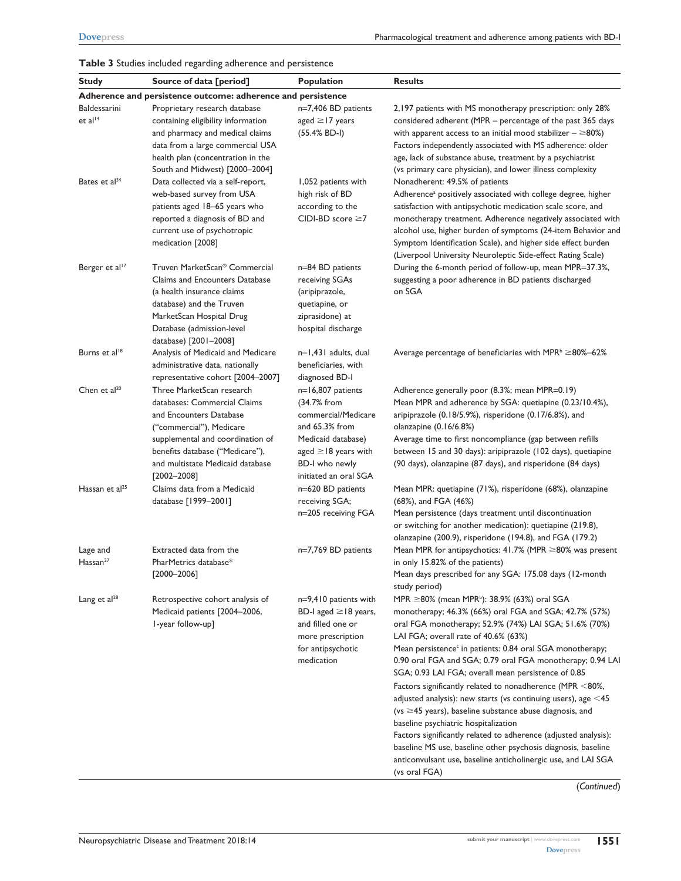| <b>Study</b>                      | Source of data [period]                                                                                                                                                                                                                        | Population                                                                                                                                                              | <b>Results</b>                                                                                                                                                                                                                                                                                                                                                                                                                                                                                                                                                                                                                                                                                                                                                                                                                                                                          |
|-----------------------------------|------------------------------------------------------------------------------------------------------------------------------------------------------------------------------------------------------------------------------------------------|-------------------------------------------------------------------------------------------------------------------------------------------------------------------------|-----------------------------------------------------------------------------------------------------------------------------------------------------------------------------------------------------------------------------------------------------------------------------------------------------------------------------------------------------------------------------------------------------------------------------------------------------------------------------------------------------------------------------------------------------------------------------------------------------------------------------------------------------------------------------------------------------------------------------------------------------------------------------------------------------------------------------------------------------------------------------------------|
|                                   | Adherence and persistence outcome: adherence and persistence                                                                                                                                                                                   |                                                                                                                                                                         |                                                                                                                                                                                                                                                                                                                                                                                                                                                                                                                                                                                                                                                                                                                                                                                                                                                                                         |
| <b>Baldessarini</b><br>et al $14$ | Proprietary research database<br>containing eligibility information<br>and pharmacy and medical claims<br>data from a large commercial USA<br>health plan (concentration in the<br>South and Midwest) [2000-2004]                              | n=7,406 BD patients<br>aged $\geq$ 17 years<br>$(55.4\%$ BD-I)                                                                                                          | 2,197 patients with MS monotherapy prescription: only 28%<br>considered adherent (MPR - percentage of the past 365 days<br>with apparent access to an initial mood stabilizer $- \geq 80\%)$<br>Factors independently associated with MS adherence: older<br>age, lack of substance abuse, treatment by a psychiatrist<br>(vs primary care physician), and lower illness complexity                                                                                                                                                                                                                                                                                                                                                                                                                                                                                                     |
| Bates et al <sup>34</sup>         | Data collected via a self-report,<br>web-based survey from USA<br>patients aged 18-65 years who<br>reported a diagnosis of BD and<br>current use of psychotropic<br>medication [2008]                                                          | 1,052 patients with<br>high risk of BD<br>according to the<br>CIDI-BD score $\geq 7$                                                                                    | Nonadherent: 49.5% of patients<br>Adherence <sup>a</sup> positively associated with college degree, higher<br>satisfaction with antipsychotic medication scale score, and<br>monotherapy treatment. Adherence negatively associated with<br>alcohol use, higher burden of symptoms (24-item Behavior and<br>Symptom Identification Scale), and higher side effect burden<br>(Liverpool University Neuroleptic Side-effect Rating Scale)                                                                                                                                                                                                                                                                                                                                                                                                                                                 |
| Berger et al <sup>17</sup>        | Truven MarketScan® Commercial<br>Claims and Encounters Database<br>(a health insurance claims<br>database) and the Truven<br>MarketScan Hospital Drug<br>Database (admission-level<br>database) [2001-2008]                                    | $n=84$ BD patients<br>receiving SGAs<br>(aripiprazole,<br>quetiapine, or<br>ziprasidone) at<br>hospital discharge                                                       | During the 6-month period of follow-up, mean MPR=37.3%,<br>suggesting a poor adherence in BD patients discharged<br>on SGA                                                                                                                                                                                                                                                                                                                                                                                                                                                                                                                                                                                                                                                                                                                                                              |
| Burns et al <sup>18</sup>         | Analysis of Medicaid and Medicare<br>administrative data, nationally<br>representative cohort [2004-2007]                                                                                                                                      | n=1,431 adults, dual<br>beneficiaries, with<br>diagnosed BD-I                                                                                                           | Average percentage of beneficiaries with MPR $\text{P} \geq 80\% = 62\%$                                                                                                                                                                                                                                                                                                                                                                                                                                                                                                                                                                                                                                                                                                                                                                                                                |
| Chen et $al^{20}$                 | Three MarketScan research<br>databases: Commercial Claims<br>and Encounters Database<br>("commercial"), Medicare<br>supplemental and coordination of<br>benefits database ("Medicare"),<br>and multistate Medicaid database<br>$[2002 - 2008]$ | n=16,807 patients<br>(34.7% from<br>commercial/Medicare<br>and 65.3% from<br>Medicaid database)<br>aged $\geq$ 18 years with<br>BD-I who newly<br>initiated an oral SGA | Adherence generally poor (8.3%; mean MPR=0.19)<br>Mean MPR and adherence by SGA: quetiapine (0.23/10.4%),<br>aripiprazole (0.18/5.9%), risperidone (0.17/6.8%), and<br>olanzapine (0.16/6.8%)<br>Average time to first noncompliance (gap between refills<br>between 15 and 30 days): aripiprazole (102 days), quetiapine<br>(90 days), olanzapine (87 days), and risperidone (84 days)                                                                                                                                                                                                                                                                                                                                                                                                                                                                                                 |
| Hassan et al <sup>25</sup>        | Claims data from a Medicaid<br>database [1999-2001]                                                                                                                                                                                            | $n=620$ BD patients<br>receiving SGA;<br>n=205 receiving FGA                                                                                                            | Mean MPR: quetiapine (71%), risperidone (68%), olanzapine<br>(68%), and FGA (46%)<br>Mean persistence (days treatment until discontinuation<br>or switching for another medication): quetiapine (219.8),<br>olanzapine (200.9), risperidone (194.8), and FGA (179.2)                                                                                                                                                                                                                                                                                                                                                                                                                                                                                                                                                                                                                    |
| Lage and<br>Hassan <sup>27</sup>  | Extracted data from the<br>PharMetrics database*<br>$[2000 - 2006]$                                                                                                                                                                            | $n=7,769$ BD patients                                                                                                                                                   | Mean MPR for antipsychotics: $41.7\%$ (MPR $\geq$ 80% was present<br>in only 15.82% of the patients)<br>Mean days prescribed for any SGA: 175.08 days (12-month<br>study period)                                                                                                                                                                                                                                                                                                                                                                                                                                                                                                                                                                                                                                                                                                        |
| Lang et al <sup>28</sup>          | Retrospective cohort analysis of<br>Medicaid patients [2004-2006,<br>I-year follow-up]                                                                                                                                                         | n=9,410 patients with<br>BD-I aged $\geq$ 18 years,<br>and filled one or<br>more prescription<br>for antipsychotic<br>medication                                        | MPR $\geq$ 80% (mean MPR <sup>b</sup> ): 38.9% (63%) oral SGA<br>monotherapy; 46.3% (66%) oral FGA and SGA; 42.7% (57%)<br>oral FGA monotherapy; 52.9% (74%) LAI SGA; 51.6% (70%)<br>LAI FGA; overall rate of 40.6% (63%)<br>Mean persistence <sup>c</sup> in patients: 0.84 oral SGA monotherapy;<br>0.90 oral FGA and SGA; 0.79 oral FGA monotherapy; 0.94 LAI<br>SGA; 0.93 LAI FGA; overall mean persistence of 0.85<br>Factors significantly related to nonadherence (MPR <80%,<br>adjusted analysis): new starts (vs continuing users), age $<$ 45<br>( $vs \geq 45$ years), baseline substance abuse diagnosis, and<br>baseline psychiatric hospitalization<br>Factors significantly related to adherence (adjusted analysis):<br>baseline MS use, baseline other psychosis diagnosis, baseline<br>anticonvulsant use, baseline anticholinergic use, and LAI SGA<br>(vs oral FGA) |

**Table 3** Studies included regarding adherence and persistence

(*Continued*)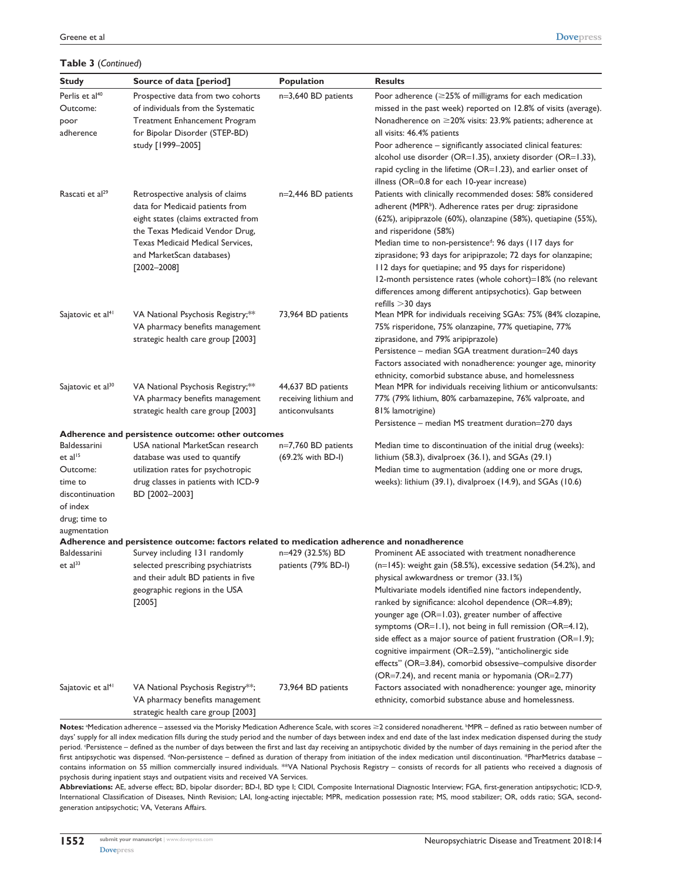#### **Table 3** (*Continued*)

| <b>Study</b>                  | Source of data [period]                                                                     | Population            | <b>Results</b>                                                      |
|-------------------------------|---------------------------------------------------------------------------------------------|-----------------------|---------------------------------------------------------------------|
| Perlis et al <sup>40</sup>    | Prospective data from two cohorts                                                           | n=3,640 BD patients   | Poor adherence ( $\geq$ 25% of milligrams for each medication       |
| Outcome:                      | of individuals from the Systematic                                                          |                       | missed in the past week) reported on 12.8% of visits (average).     |
| poor                          | Treatment Enhancement Program                                                               |                       | Nonadherence on $\geq$ 20% visits: 23.9% patients; adherence at     |
| adherence                     | for Bipolar Disorder (STEP-BD)                                                              |                       | all visits: 46.4% patients                                          |
|                               | study [1999-2005]                                                                           |                       | Poor adherence - significantly associated clinical features:        |
|                               |                                                                                             |                       | alcohol use disorder (OR=1.35), anxiety disorder (OR=1.33),         |
|                               |                                                                                             |                       | rapid cycling in the lifetime ( $OR=1.23$ ), and earlier onset of   |
|                               |                                                                                             |                       | illness (OR=0.8 for each 10-year increase)                          |
| Rascati et al <sup>29</sup>   | Retrospective analysis of claims                                                            | $n=2,446$ BD patients | Patients with clinically recommended doses: 58% considered          |
|                               | data for Medicaid patients from                                                             |                       | adherent (MPR <sup>b</sup> ). Adherence rates per drug: ziprasidone |
|                               | eight states (claims extracted from                                                         |                       | (62%), aripiprazole (60%), olanzapine (58%), quetiapine (55%),      |
|                               |                                                                                             |                       |                                                                     |
|                               | the Texas Medicaid Vendor Drug,                                                             |                       | and risperidone (58%)                                               |
|                               | Texas Medicaid Medical Services,                                                            |                       | Median time to non-persistence <sup>d</sup> : 96 days (117 days for |
|                               | and MarketScan databases)                                                                   |                       | ziprasidone; 93 days for aripiprazole; 72 days for olanzapine;      |
|                               | $[2002 - 2008]$                                                                             |                       | 112 days for quetiapine; and 95 days for risperidone)               |
|                               |                                                                                             |                       | 12-month persistence rates (whole cohort)=18% (no relevant          |
|                               |                                                                                             |                       | differences among different antipsychotics). Gap between            |
|                               |                                                                                             |                       | refills $>$ 30 days                                                 |
| Sajatovic et al <sup>41</sup> | VA National Psychosis Registry;**                                                           | 73,964 BD patients    | Mean MPR for individuals receiving SGAs: 75% (84% clozapine,        |
|                               | VA pharmacy benefits management                                                             |                       | 75% risperidone, 75% olanzapine, 77% quetiapine, 77%                |
|                               | strategic health care group [2003]                                                          |                       | ziprasidone, and 79% aripiprazole)                                  |
|                               |                                                                                             |                       | Persistence - median SGA treatment duration=240 days                |
|                               |                                                                                             |                       | Factors associated with nonadherence: younger age, minority         |
|                               |                                                                                             |                       | ethnicity, comorbid substance abuse, and homelessness               |
| Sajatovic et al <sup>30</sup> | VA National Psychosis Registry;**                                                           | 44,637 BD patients    | Mean MPR for individuals receiving lithium or anticonvulsants:      |
|                               | VA pharmacy benefits management                                                             | receiving lithium and | 77% (79% lithium, 80% carbamazepine, 76% valproate, and             |
|                               | strategic health care group [2003]                                                          | anticonvulsants       | 81% lamotrigine)                                                    |
|                               |                                                                                             |                       | Persistence - median MS treatment duration=270 days                 |
|                               | Adherence and persistence outcome: other outcomes                                           |                       |                                                                     |
| <b>Baldessarini</b>           | USA national MarketScan research                                                            | $n=7,760$ BD patients | Median time to discontinuation of the initial drug (weeks):         |
| $et$ al <sup>15</sup>         | database was used to quantify                                                               | (69.2% with BD-I)     | lithium (58.3), divalproex (36.1), and SGAs (29.1)                  |
| Outcome:                      | utilization rates for psychotropic                                                          |                       | Median time to augmentation (adding one or more drugs,              |
| time to                       | drug classes in patients with ICD-9                                                         |                       | weeks): lithium $(39.1)$ , divalproex $(14.9)$ , and SGAs $(10.6)$  |
| discontinuation               | BD [2002-2003]                                                                              |                       |                                                                     |
| of index                      |                                                                                             |                       |                                                                     |
| drug; time to                 |                                                                                             |                       |                                                                     |
| augmentation                  |                                                                                             |                       |                                                                     |
|                               | Adherence and persistence outcome: factors related to medication adherence and nonadherence |                       |                                                                     |
| <b>Baldessarini</b>           | Survey including 131 randomly                                                               | n=429 (32.5%) BD      | Prominent AE associated with treatment nonadherence                 |
| et $\rm{al}^{33}$             | selected prescribing psychiatrists                                                          | patients (79% BD-I)   | $(n=145)$ : weight gain (58.5%), excessive sedation (54.2%), and    |
|                               | and their adult BD patients in five                                                         |                       | physical awkwardness or tremor (33.1%)                              |
|                               | geographic regions in the USA                                                               |                       | Multivariate models identified nine factors independently,          |
|                               | $[2005]$                                                                                    |                       | ranked by significance: alcohol dependence (OR=4.89);               |
|                               |                                                                                             |                       | younger age (OR=1.03), greater number of affective                  |
|                               |                                                                                             |                       | symptoms (OR=1.1), not being in full remission (OR=4.12),           |
|                               |                                                                                             |                       | side effect as a major source of patient frustration (OR=1.9);      |
|                               |                                                                                             |                       | cognitive impairment (OR=2.59), "anticholinergic side               |
|                               |                                                                                             |                       | effects" (OR=3.84), comorbid obsessive-compulsive disorder          |
|                               |                                                                                             |                       | (OR=7.24), and recent mania or hypomania (OR=2.77)                  |
| Sajatovic et al <sup>41</sup> | VA National Psychosis Registry**;                                                           | 73,964 BD patients    | Factors associated with nonadherence: younger age, minority         |
|                               | VA pharmacy benefits management                                                             |                       | ethnicity, comorbid substance abuse and homelessness.               |
|                               | strategic health care group [2003]                                                          |                       |                                                                     |

Notes: <sup>a</sup>Medication adherence – assessed via the Morisky Medication Adherence Scale, with scores ≥2 considered nonadherent. <sup>b</sup>MPR – defined as ratio between number of days' supply for all index medication fills during the study period and the number of days between index and end date of the last index medication dispensed during the study period. Persistence – defined as the number of days between the first and last day receiving an antipsychotic divided by the number of days remaining in the period after the first antipsychotic was dispensed. <sup>4</sup>Non-persistence – defined as duration of therapy from initiation of the index medication until discontinuation. \*PharMetrics database – contains information on 55 million commercially insured individuals. \*\*VA National Psychosis Registry – consists of records for all patients who received a diagnosis of psychosis during inpatient stays and outpatient visits and received VA Services.

**Abbreviations:** AE, adverse effect; BD, bipolar disorder; BD-I, BD type I; CIDI, Composite International Diagnostic Interview; FGA, first-generation antipsychotic; ICD-9, International Classification of Diseases, Ninth Revision; LAI, long-acting injectable; MPR, medication possession rate; MS, mood stabilizer; OR, odds ratio; SGA, secondgeneration antipsychotic; VA, Veterans Affairs.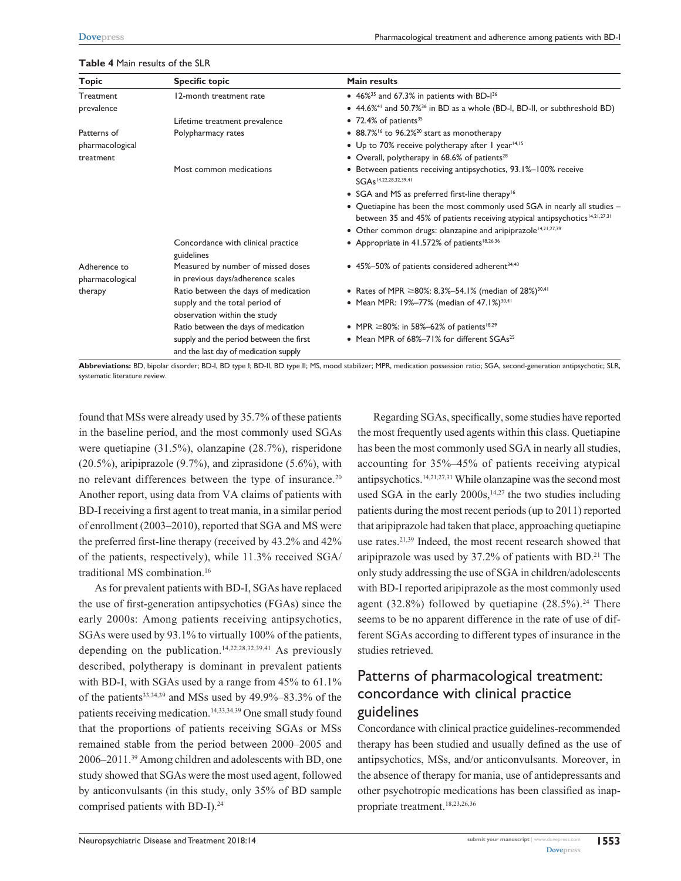| <b>Topic</b>                    | <b>Specific topic</b>                                                            | <b>Main results</b>                                                                                                                                                 |  |  |  |  |  |
|---------------------------------|----------------------------------------------------------------------------------|---------------------------------------------------------------------------------------------------------------------------------------------------------------------|--|--|--|--|--|
| <b>Treatment</b>                | 12-month treatment rate                                                          | • $46\%$ <sup>35</sup> and 67.3% in patients with BD- $1^{36}$                                                                                                      |  |  |  |  |  |
| prevalence                      |                                                                                  | • 44.6% <sup>41</sup> and 50.7% <sup>36</sup> in BD as a whole (BD-I, BD-II, or subthreshold BD)                                                                    |  |  |  |  |  |
|                                 | Lifetime treatment prevalence                                                    | • 72.4% of patients $35$                                                                                                                                            |  |  |  |  |  |
| Patterns of                     | Polypharmacy rates                                                               | • 88.7% <sup>16</sup> to 96.2% <sup>20</sup> start as monotherapy                                                                                                   |  |  |  |  |  |
| pharmacological                 |                                                                                  | • Up to 70% receive polytherapy after 1 year <sup>14,15</sup>                                                                                                       |  |  |  |  |  |
| treatment                       |                                                                                  | • Overall, polytherapy in 68.6% of patients <sup>28</sup>                                                                                                           |  |  |  |  |  |
|                                 | Most common medications                                                          | • Between patients receiving antipsychotics, 93.1%-100% receive<br>SGAs <sup>14,22,28,32,39,41</sup>                                                                |  |  |  |  |  |
|                                 |                                                                                  | • SGA and MS as preferred first-line therapy <sup>16</sup>                                                                                                          |  |  |  |  |  |
|                                 |                                                                                  | • Quetiapine has been the most commonly used SGA in nearly all studies -<br>between 35 and 45% of patients receiving atypical antipsychotics <sup>14,21,27,31</sup> |  |  |  |  |  |
|                                 |                                                                                  | • Other common drugs: olanzapine and aripiprazole <sup>14,21,27,39</sup>                                                                                            |  |  |  |  |  |
|                                 | Concordance with clinical practice<br>guidelines                                 | • Appropriate in 41.572% of patients <sup>18,26,36</sup>                                                                                                            |  |  |  |  |  |
| Adherence to<br>pharmacological | Measured by number of missed doses<br>in previous days/adherence scales          | • 45%-50% of patients considered adherent <sup>34,40</sup>                                                                                                          |  |  |  |  |  |
| therapy                         | Ratio between the days of medication                                             | • Rates of MPR $\geq$ 80%: 8.3%–54.1% (median of 28%) <sup>30,41</sup>                                                                                              |  |  |  |  |  |
|                                 | supply and the total period of<br>observation within the study                   | • Mean MPR: 19%-77% (median of 47.1%) <sup>30,41</sup>                                                                                                              |  |  |  |  |  |
|                                 | Ratio between the days of medication                                             | • MPR $\geq$ 80%: in 58%–62% of patients <sup>18,29</sup>                                                                                                           |  |  |  |  |  |
|                                 | supply and the period between the first<br>and the last day of medication supply | • Mean MPR of 68%-71% for different SGAs <sup>25</sup>                                                                                                              |  |  |  |  |  |

#### **Table 4** Main results of the SLR

**Abbreviations:** BD, bipolar disorder; BD-I, BD type I; BD-II, BD type II; MS, mood stabilizer; MPR, medication possession ratio; SGA, second-generation antipsychotic; SLR, systematic literature review.

found that MSs were already used by 35.7% of these patients in the baseline period, and the most commonly used SGAs were quetiapine (31.5%), olanzapine (28.7%), risperidone (20.5%), aripiprazole (9.7%), and ziprasidone (5.6%), with no relevant differences between the type of insurance.<sup>20</sup> Another report, using data from VA claims of patients with BD-I receiving a first agent to treat mania, in a similar period of enrollment (2003–2010), reported that SGA and MS were the preferred first-line therapy (received by 43.2% and 42% of the patients, respectively), while 11.3% received SGA/ traditional MS combination.16

As for prevalent patients with BD-I, SGAs have replaced the use of first-generation antipsychotics (FGAs) since the early 2000s: Among patients receiving antipsychotics, SGAs were used by 93.1% to virtually 100% of the patients, depending on the publication.<sup>14,22,28,32,39,41</sup> As previously described, polytherapy is dominant in prevalent patients with BD-I, with SGAs used by a range from 45% to 61.1% of the patients<sup>33,34,39</sup> and MSs used by  $49.9\% - 83.3\%$  of the patients receiving medication.14,33,34,39 One small study found that the proportions of patients receiving SGAs or MSs remained stable from the period between 2000–2005 and 2006–2011.39 Among children and adolescents with BD, one study showed that SGAs were the most used agent, followed by anticonvulsants (in this study, only 35% of BD sample comprised patients with BD-I).<sup>24</sup>

Regarding SGAs, specifically, some studies have reported the most frequently used agents within this class. Quetiapine has been the most commonly used SGA in nearly all studies, accounting for 35%–45% of patients receiving atypical antipsychotics.14,21,27,31 While olanzapine was the second most used SGA in the early  $2000s$ ,<sup>14,27</sup> the two studies including patients during the most recent periods (up to 2011) reported that aripiprazole had taken that place, approaching quetiapine use rates.21,39 Indeed, the most recent research showed that aripiprazole was used by  $37.2\%$  of patients with BD.<sup>21</sup> The only study addressing the use of SGA in children/adolescents with BD-I reported aripiprazole as the most commonly used agent  $(32.8\%)$  followed by quetiapine  $(28.5\%)$ <sup>24</sup> There seems to be no apparent difference in the rate of use of different SGAs according to different types of insurance in the studies retrieved.

## Patterns of pharmacological treatment: concordance with clinical practice guidelines

Concordance with clinical practice guidelines-recommended therapy has been studied and usually defined as the use of antipsychotics, MSs, and/or anticonvulsants. Moreover, in the absence of therapy for mania, use of antidepressants and other psychotropic medications has been classified as inappropriate treatment.18,23,26,36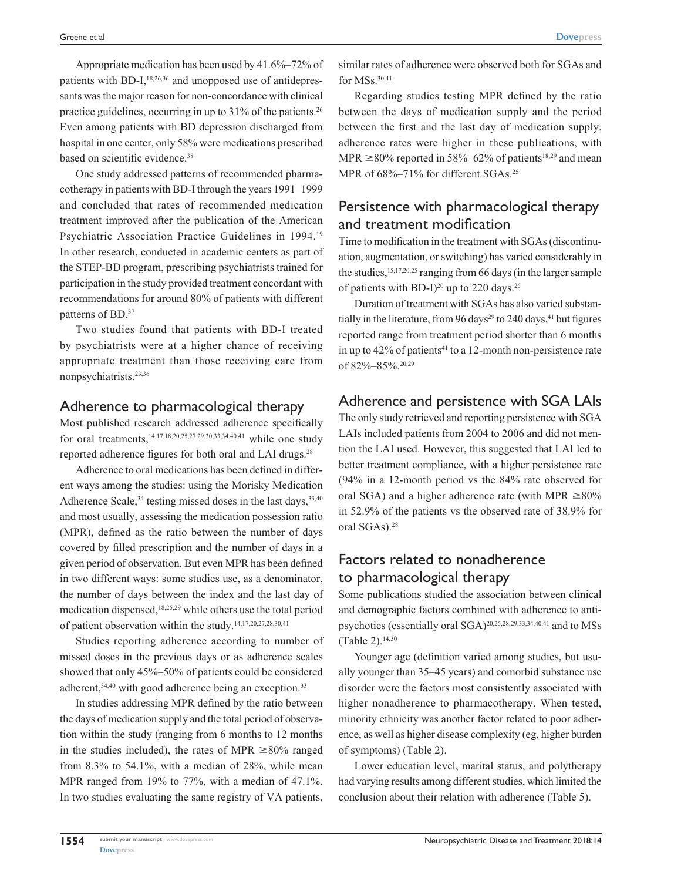Appropriate medication has been used by 41.6%–72% of patients with BD-I, $^{18,26,36}$  and unopposed use of antidepressants was the major reason for non-concordance with clinical practice guidelines, occurring in up to 31% of the patients.26 Even among patients with BD depression discharged from hospital in one center, only 58% were medications prescribed based on scientific evidence.<sup>38</sup>

One study addressed patterns of recommended pharmacotherapy in patients with BD-I through the years 1991–1999 and concluded that rates of recommended medication treatment improved after the publication of the American Psychiatric Association Practice Guidelines in 1994.19 In other research, conducted in academic centers as part of the STEP-BD program, prescribing psychiatrists trained for participation in the study provided treatment concordant with recommendations for around 80% of patients with different patterns of BD.<sup>37</sup>

Two studies found that patients with BD-I treated by psychiatrists were at a higher chance of receiving appropriate treatment than those receiving care from nonpsychiatrists.23,36

## Adherence to pharmacological therapy

Most published research addressed adherence specifically for oral treatments,  $14,17,18,20,25,27,29,30,33,34,40,41$  while one study reported adherence figures for both oral and LAI drugs.<sup>28</sup>

Adherence to oral medications has been defined in different ways among the studies: using the Morisky Medication Adherence Scale,  $34$  testing missed doses in the last days,  $33,40$ and most usually, assessing the medication possession ratio (MPR), defined as the ratio between the number of days covered by filled prescription and the number of days in a given period of observation. But even MPR has been defined in two different ways: some studies use, as a denominator, the number of days between the index and the last day of medication dispensed,18,25,29 while others use the total period of patient observation within the study.14,17,20,27,28,30,41

Studies reporting adherence according to number of missed doses in the previous days or as adherence scales showed that only 45%–50% of patients could be considered adherent,<sup>34,40</sup> with good adherence being an exception.<sup>33</sup>

In studies addressing MPR defined by the ratio between the days of medication supply and the total period of observation within the study (ranging from 6 months to 12 months in the studies included), the rates of MPR  $\geq 80\%$  ranged from 8.3% to 54.1%, with a median of 28%, while mean MPR ranged from 19% to 77%, with a median of 47.1%. In two studies evaluating the same registry of VA patients,

similar rates of adherence were observed both for SGAs and for MSs.<sup>30,41</sup>

Regarding studies testing MPR defined by the ratio between the days of medication supply and the period between the first and the last day of medication supply, adherence rates were higher in these publications, with MPR  $\geq$ 80% reported in 58%–62% of patients<sup>18,29</sup> and mean MPR of  $68\% - 71\%$  for different SGAs.<sup>25</sup>

## Persistence with pharmacological therapy and treatment modification

Time to modification in the treatment with SGAs (discontinuation, augmentation, or switching) has varied considerably in the studies,  $15,17,20,25$  ranging from 66 days (in the larger sample of patients with BD-I)<sup>20</sup> up to 220 days.<sup>25</sup>

Duration of treatment with SGAs has also varied substantially in the literature, from 96 days<sup>29</sup> to 240 days,<sup>41</sup> but figures reported range from treatment period shorter than 6 months in up to  $42\%$  of patients<sup>41</sup> to a 12-month non-persistence rate of 82%–85%.20,29

## Adherence and persistence with SGA LAIs

The only study retrieved and reporting persistence with SGA LAIs included patients from 2004 to 2006 and did not mention the LAI used. However, this suggested that LAI led to better treatment compliance, with a higher persistence rate (94% in a 12-month period vs the 84% rate observed for oral SGA) and a higher adherence rate (with MPR  $\geq$ 80% in 52.9% of the patients vs the observed rate of 38.9% for oral SGAs).28

## Factors related to nonadherence to pharmacological therapy

Some publications studied the association between clinical and demographic factors combined with adherence to antipsychotics (essentially oral SGA)20,25,28,29,33,34,40,41 and to MSs (Table 2). $14,30$ 

Younger age (definition varied among studies, but usually younger than 35–45 years) and comorbid substance use disorder were the factors most consistently associated with higher nonadherence to pharmacotherapy. When tested, minority ethnicity was another factor related to poor adherence, as well as higher disease complexity (eg, higher burden of symptoms) (Table 2).

Lower education level, marital status, and polytherapy had varying results among different studies, which limited the conclusion about their relation with adherence (Table 5).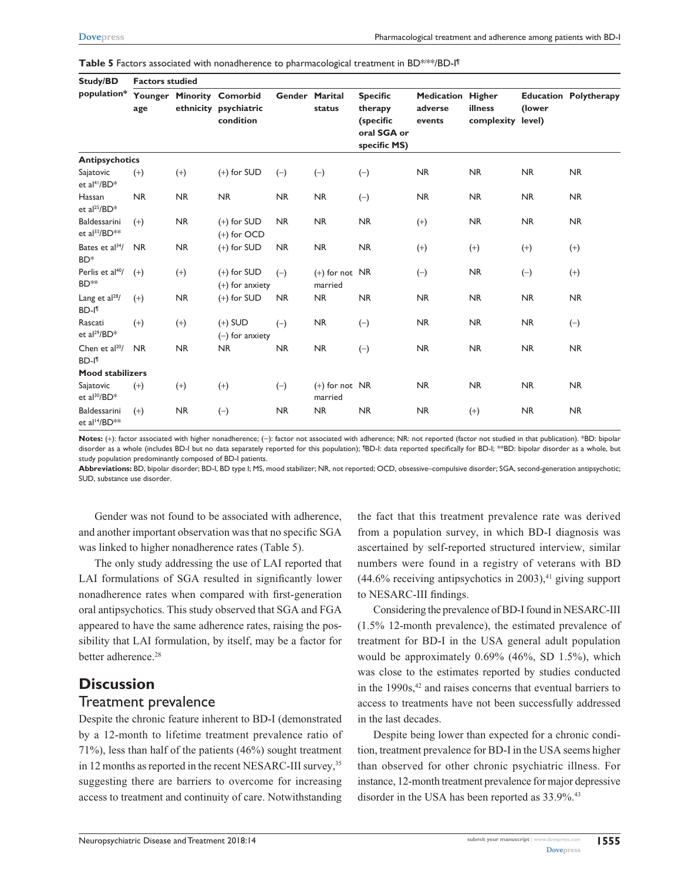**Table 5** Factors associated with nonadherence to pharmacological treatment in BD\*/\*\*/BD-1¶

| <b>Study/BD</b><br>population*                        |           | <b>Factors studied</b> |                                                                 |           |                             |                                                                        |                                               |                              |           |                              |
|-------------------------------------------------------|-----------|------------------------|-----------------------------------------------------------------|-----------|-----------------------------|------------------------------------------------------------------------|-----------------------------------------------|------------------------------|-----------|------------------------------|
|                                                       | age       |                        | Younger Minority Comorbid<br>ethnicity psychiatric<br>condition |           | Gender Marital<br>status    | <b>Specific</b><br>therapy<br>(specific<br>oral SGA or<br>specific MS) | <b>Medication Higher</b><br>adverse<br>events | illness<br>complexity level) | (lower    | <b>Education Polytherapy</b> |
| <b>Antipsychotics</b>                                 |           |                        |                                                                 |           |                             |                                                                        |                                               |                              |           |                              |
| Sajatovic<br>et al <sup>41</sup> /BD*                 | $(+)$     | $(+)$                  | $(+)$ for SUD                                                   | $(-)$     | $(-)$                       | $(-)$                                                                  | <b>NR</b>                                     | <b>NR</b>                    | <b>NR</b> | <b>NR</b>                    |
| Hassan<br>et al <sup>25</sup> /BD*                    | <b>NR</b> | <b>NR</b>              | <b>NR</b>                                                       | <b>NR</b> | <b>NR</b>                   | $(-)$                                                                  | <b>NR</b>                                     | <b>NR</b>                    | <b>NR</b> | <b>NR</b>                    |
| Baldessarini<br>et al <sup>33</sup> /BD <sup>**</sup> | $(+)$     | <b>NR</b>              | $(+)$ for SUD<br>$(+)$ for OCD                                  | <b>NR</b> | <b>NR</b>                   | <b>NR</b>                                                              | $(+)$                                         | <b>NR</b>                    | <b>NR</b> | <b>NR</b>                    |
| Bates et al <sup>34</sup> /<br>BD <sup>*</sup>        | <b>NR</b> | <b>NR</b>              | $(+)$ for SUD                                                   | <b>NR</b> | <b>NR</b>                   | <b>NR</b>                                                              | $^{(+)}$                                      | $^{(+)}$                     | $^{(+)}$  | $(+)$                        |
| Perlis et al <sup>40</sup> /<br>BD <sup>**</sup>      | $(+)$     | $(+)$                  | $(+)$ for SUD<br>$(+)$ for anxiety                              | $(-)$     | $(+)$ for not NR<br>married |                                                                        | $(-)$                                         | <b>NR</b>                    | $(-)$     | $(+)$                        |
| Lang et $al^{28}/$<br>BD-I <sup>1</sup>               | $(+)$     | <b>NR</b>              | $(+)$ for SUD                                                   | <b>NR</b> | <b>NR</b>                   | <b>NR</b>                                                              | <b>NR</b>                                     | <b>NR</b>                    | <b>NR</b> | <b>NR</b>                    |
| Rascati<br>et al <sup>29</sup> /BD*                   | $^{(+)}$  | $^{(+)}$               | $(+)$ SUD<br>$(-)$ for anxiety                                  | $(-)$     | <b>NR</b>                   | $(-)$                                                                  | <b>NR</b>                                     | <b>NR</b>                    | <b>NR</b> | $(-)$                        |
| Chen et al <sup>20</sup> /<br>BD-I <sup>1</sup>       | <b>NR</b> | <b>NR</b>              | <b>NR</b>                                                       | <b>NR</b> | <b>NR</b>                   | $(-)$                                                                  | <b>NR</b>                                     | <b>NR</b>                    | <b>NR</b> | <b>NR</b>                    |
| <b>Mood stabilizers</b>                               |           |                        |                                                                 |           |                             |                                                                        |                                               |                              |           |                              |
| Sajatovic<br>et al <sup>30</sup> /BD*                 | $^{(+)}$  | $^{(+)}$               | $^{(+)}$                                                        | $(-)$     | $(+)$ for not NR<br>married |                                                                        | <b>NR</b>                                     | <b>NR</b>                    | <b>NR</b> | <b>NR</b>                    |
| Baldessarini<br>et al <sup>14</sup> /BD <sup>**</sup> | $(+)$     | <b>NR</b>              | $(-)$                                                           | <b>NR</b> | <b>NR</b>                   | <b>NR</b>                                                              | <b>NR</b>                                     | $(+)$                        | <b>NR</b> | <b>NR</b>                    |

**Notes:** (+): factor associated with higher nonadherence; (−): factor not associated with adherence; NR: not reported (factor not studied in that publication). \*BD: bipolar disorder as a whole (includes BD-I but no data separately reported for this population); "BD-I: data reported specifically for BD-I; \*\*BD: bipolar disorder as a whole, but study population predominantly composed of BD-I patients.

**Abbreviations:** BD, bipolar disorder; BD-I, BD type I; MS, mood stabilizer; NR, not reported; OCD, obsessive–compulsive disorder; SGA, second-generation antipsychotic; SUD, substance use disorder.

Gender was not found to be associated with adherence, and another important observation was that no specific SGA was linked to higher nonadherence rates (Table 5).

The only study addressing the use of LAI reported that LAI formulations of SGA resulted in significantly lower nonadherence rates when compared with first-generation oral antipsychotics. This study observed that SGA and FGA appeared to have the same adherence rates, raising the possibility that LAI formulation, by itself, may be a factor for better adherence.<sup>28</sup>

## **Discussion**

#### Treatment prevalence

Despite the chronic feature inherent to BD-I (demonstrated by a 12-month to lifetime treatment prevalence ratio of 71%), less than half of the patients (46%) sought treatment in 12 months as reported in the recent NESARC-III survey,<sup>35</sup> suggesting there are barriers to overcome for increasing access to treatment and continuity of care. Notwithstanding

the fact that this treatment prevalence rate was derived from a population survey, in which BD-I diagnosis was ascertained by self-reported structured interview, similar numbers were found in a registry of veterans with BD  $(44.6\%$  receiving antipsychotics in 2003), $41$  giving support to NESARC-III findings.

Considering the prevalence of BD-I found in NESARC-III (1.5% 12-month prevalence), the estimated prevalence of treatment for BD-I in the USA general adult population would be approximately 0.69% (46%, SD 1.5%), which was close to the estimates reported by studies conducted in the  $1990s$ ,  $42$  and raises concerns that eventual barriers to access to treatments have not been successfully addressed in the last decades.

Despite being lower than expected for a chronic condition, treatment prevalence for BD-I in the USA seems higher than observed for other chronic psychiatric illness. For instance, 12-month treatment prevalence for major depressive disorder in the USA has been reported as  $33.9\%$ .<sup>43</sup>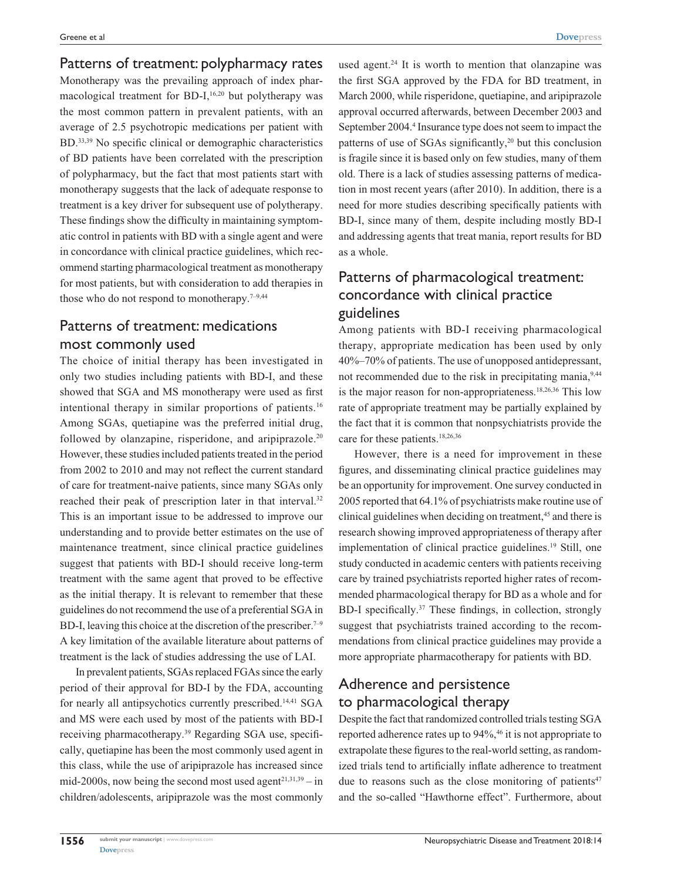## Patterns of treatment: polypharmacy rates

Monotherapy was the prevailing approach of index pharmacological treatment for BD-I,<sup>16,20</sup> but polytherapy was the most common pattern in prevalent patients, with an average of 2.5 psychotropic medications per patient with BD.<sup>33,39</sup> No specific clinical or demographic characteristics of BD patients have been correlated with the prescription of polypharmacy, but the fact that most patients start with monotherapy suggests that the lack of adequate response to treatment is a key driver for subsequent use of polytherapy. These findings show the difficulty in maintaining symptomatic control in patients with BD with a single agent and were in concordance with clinical practice guidelines, which recommend starting pharmacological treatment as monotherapy for most patients, but with consideration to add therapies in those who do not respond to monotherapy.<sup>7-9,44</sup>

# Patterns of treatment: medications most commonly used

The choice of initial therapy has been investigated in only two studies including patients with BD-I, and these showed that SGA and MS monotherapy were used as first intentional therapy in similar proportions of patients.<sup>16</sup> Among SGAs, quetiapine was the preferred initial drug, followed by olanzapine, risperidone, and aripiprazole.<sup>20</sup> However, these studies included patients treated in the period from 2002 to 2010 and may not reflect the current standard of care for treatment-naive patients, since many SGAs only reached their peak of prescription later in that interval.<sup>32</sup> This is an important issue to be addressed to improve our understanding and to provide better estimates on the use of maintenance treatment, since clinical practice guidelines suggest that patients with BD-I should receive long-term treatment with the same agent that proved to be effective as the initial therapy. It is relevant to remember that these guidelines do not recommend the use of a preferential SGA in BD-I, leaving this choice at the discretion of the prescriber.<sup>7-9</sup> A key limitation of the available literature about patterns of treatment is the lack of studies addressing the use of LAI.

In prevalent patients, SGAs replaced FGAs since the early period of their approval for BD-I by the FDA, accounting for nearly all antipsychotics currently prescribed.<sup>14,41</sup> SGA and MS were each used by most of the patients with BD-I receiving pharmacotherapy.39 Regarding SGA use, specifically, quetiapine has been the most commonly used agent in this class, while the use of aripiprazole has increased since mid-2000s, now being the second most used agent<sup> $21,31,39$ </sup> – in children/adolescents, aripiprazole was the most commonly

used agent.<sup>24</sup> It is worth to mention that olanzapine was the first SGA approved by the FDA for BD treatment, in March 2000, while risperidone, quetiapine, and aripiprazole approval occurred afterwards, between December 2003 and September 2004.<sup>4</sup> Insurance type does not seem to impact the patterns of use of SGAs significantly, $20$  but this conclusion is fragile since it is based only on few studies, many of them old. There is a lack of studies assessing patterns of medication in most recent years (after 2010). In addition, there is a need for more studies describing specifically patients with BD-I, since many of them, despite including mostly BD-I and addressing agents that treat mania, report results for BD as a whole.

## Patterns of pharmacological treatment: concordance with clinical practice guidelines

Among patients with BD-I receiving pharmacological therapy, appropriate medication has been used by only 40%–70% of patients. The use of unopposed antidepressant, not recommended due to the risk in precipitating mania, $9,44$ is the major reason for non-appropriateness.<sup>18,26,36</sup> This low rate of appropriate treatment may be partially explained by the fact that it is common that nonpsychiatrists provide the care for these patients.18,26,36

However, there is a need for improvement in these figures, and disseminating clinical practice guidelines may be an opportunity for improvement. One survey conducted in 2005 reported that 64.1% of psychiatrists make routine use of clinical guidelines when deciding on treatment,<sup>45</sup> and there is research showing improved appropriateness of therapy after implementation of clinical practice guidelines.<sup>19</sup> Still, one study conducted in academic centers with patients receiving care by trained psychiatrists reported higher rates of recommended pharmacological therapy for BD as a whole and for BD-I specifically.<sup>37</sup> These findings, in collection, strongly suggest that psychiatrists trained according to the recommendations from clinical practice guidelines may provide a more appropriate pharmacotherapy for patients with BD.

# Adherence and persistence to pharmacological therapy

Despite the fact that randomized controlled trials testing SGA reported adherence rates up to 94%,<sup>46</sup> it is not appropriate to extrapolate these figures to the real-world setting, as randomized trials tend to artificially inflate adherence to treatment due to reasons such as the close monitoring of patients<sup>47</sup> and the so-called "Hawthorne effect". Furthermore, about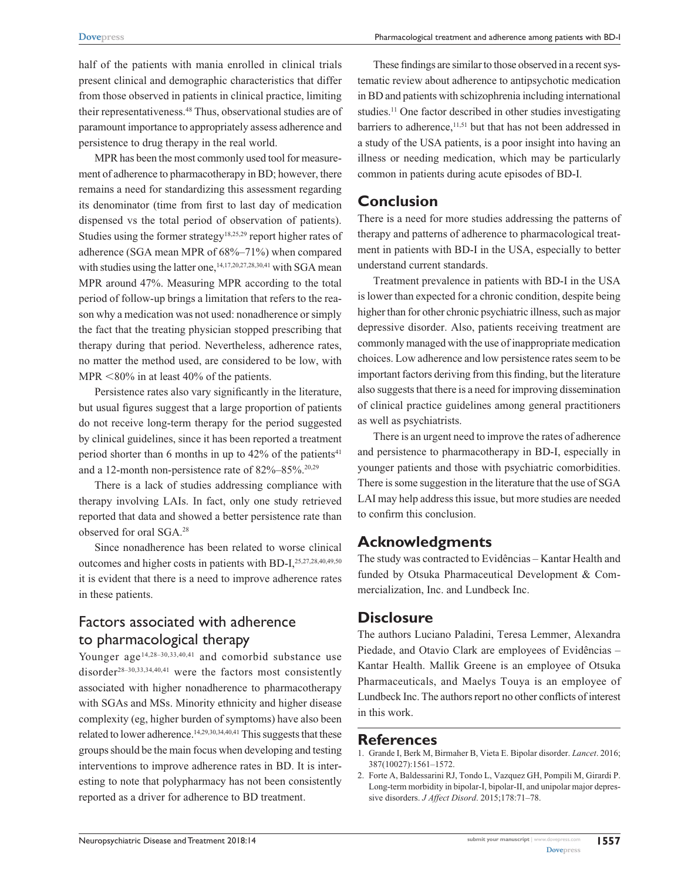half of the patients with mania enrolled in clinical trials present clinical and demographic characteristics that differ from those observed in patients in clinical practice, limiting their representativeness.48 Thus, observational studies are of paramount importance to appropriately assess adherence and persistence to drug therapy in the real world.

MPR has been the most commonly used tool for measurement of adherence to pharmacotherapy in BD; however, there remains a need for standardizing this assessment regarding its denominator (time from first to last day of medication dispensed vs the total period of observation of patients). Studies using the former strategy<sup>18,25,29</sup> report higher rates of adherence (SGA mean MPR of 68%–71%) when compared with studies using the latter one,<sup>14,17,20,27,28,30,41</sup> with SGA mean MPR around 47%. Measuring MPR according to the total period of follow-up brings a limitation that refers to the reason why a medication was not used: nonadherence or simply the fact that the treating physician stopped prescribing that therapy during that period. Nevertheless, adherence rates, no matter the method used, are considered to be low, with MPR  $<80\%$  in at least 40% of the patients.

Persistence rates also vary significantly in the literature, but usual figures suggest that a large proportion of patients do not receive long-term therapy for the period suggested by clinical guidelines, since it has been reported a treatment period shorter than 6 months in up to  $42\%$  of the patients<sup>41</sup> and a 12-month non-persistence rate of 82%–85%.<sup>20,29</sup>

There is a lack of studies addressing compliance with therapy involving LAIs. In fact, only one study retrieved reported that data and showed a better persistence rate than observed for oral SGA.28

Since nonadherence has been related to worse clinical outcomes and higher costs in patients with BD-I,<sup>25,27,28,40,49,50</sup> it is evident that there is a need to improve adherence rates in these patients.

## Factors associated with adherence to pharmacological therapy

Younger age<sup>14,28-30,33,40,41</sup> and comorbid substance use disorder<sup>28-30,33,34,40,41</sup> were the factors most consistently associated with higher nonadherence to pharmacotherapy with SGAs and MSs. Minority ethnicity and higher disease complexity (eg, higher burden of symptoms) have also been related to lower adherence.<sup>14,29,30,34,40,41</sup> This suggests that these groups should be the main focus when developing and testing interventions to improve adherence rates in BD. It is interesting to note that polypharmacy has not been consistently reported as a driver for adherence to BD treatment.

These findings are similar to those observed in a recent systematic review about adherence to antipsychotic medication in BD and patients with schizophrenia including international studies.<sup>11</sup> One factor described in other studies investigating barriers to adherence,<sup>11,51</sup> but that has not been addressed in a study of the USA patients, is a poor insight into having an illness or needing medication, which may be particularly common in patients during acute episodes of BD-I.

## **Conclusion**

There is a need for more studies addressing the patterns of therapy and patterns of adherence to pharmacological treatment in patients with BD-I in the USA, especially to better understand current standards.

Treatment prevalence in patients with BD-I in the USA is lower than expected for a chronic condition, despite being higher than for other chronic psychiatric illness, such as major depressive disorder. Also, patients receiving treatment are commonly managed with the use of inappropriate medication choices. Low adherence and low persistence rates seem to be important factors deriving from this finding, but the literature also suggests that there is a need for improving dissemination of clinical practice guidelines among general practitioners as well as psychiatrists.

There is an urgent need to improve the rates of adherence and persistence to pharmacotherapy in BD-I, especially in younger patients and those with psychiatric comorbidities. There is some suggestion in the literature that the use of SGA LAI may help address this issue, but more studies are needed to confirm this conclusion.

## **Acknowledgments**

The study was contracted to Evidências – Kantar Health and funded by Otsuka Pharmaceutical Development & Commercialization, Inc. and Lundbeck Inc.

## **Disclosure**

The authors Luciano Paladini, Teresa Lemmer, Alexandra Piedade, and Otavio Clark are employees of Evidências – Kantar Health. Mallik Greene is an employee of Otsuka Pharmaceuticals, and Maelys Touya is an employee of Lundbeck Inc. The authors report no other conflicts of interest in this work.

# **References**

- 1. Grande I, Berk M, Birmaher B, Vieta E. Bipolar disorder. *Lancet*. 2016; 387(10027):1561–1572.
- 2. Forte A, Baldessarini RJ, Tondo L, Vazquez GH, Pompili M, Girardi P. Long-term morbidity in bipolar-I, bipolar-II, and unipolar major depressive disorders. *J Affect Disord*. 2015;178:71–78.

**1557**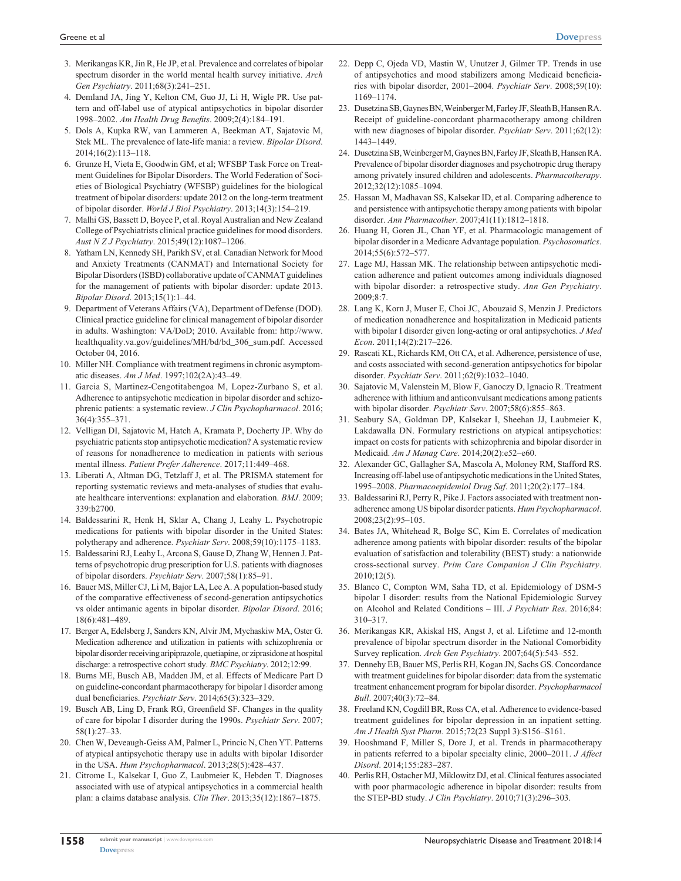- 3. Merikangas KR, Jin R, He JP, et al. Prevalence and correlates of bipolar spectrum disorder in the world mental health survey initiative. *Arch Gen Psychiatry*. 2011;68(3):241–251.
- 4. Demland JA, Jing Y, Kelton CM, Guo JJ, Li H, Wigle PR. Use pattern and off-label use of atypical antipsychotics in bipolar disorder 1998–2002. *Am Health Drug Benefits*. 2009;2(4):184–191.
- 5. Dols A, Kupka RW, van Lammeren A, Beekman AT, Sajatovic M, Stek ML. The prevalence of late-life mania: a review. *Bipolar Disord*. 2014;16(2):113–118.
- 6. Grunze H, Vieta E, Goodwin GM, et al; WFSBP Task Force on Treatment Guidelines for Bipolar Disorders. The World Federation of Societies of Biological Psychiatry (WFSBP) guidelines for the biological treatment of bipolar disorders: update 2012 on the long-term treatment of bipolar disorder. *World J Biol Psychiatry*. 2013;14(3):154–219.
- 7. Malhi GS, Bassett D, Boyce P, et al. Royal Australian and New Zealand College of Psychiatrists clinical practice guidelines for mood disorders. *Aust N Z J Psychiatry*. 2015;49(12):1087–1206.
- 8. Yatham LN, Kennedy SH, Parikh SV, et al. Canadian Network for Mood and Anxiety Treatments (CANMAT) and International Society for Bipolar Disorders (ISBD) collaborative update of CANMAT guidelines for the management of patients with bipolar disorder: update 2013. *Bipolar Disord*. 2013;15(1):1–44.
- 9. Department of Veterans Affairs (VA), Department of Defense (DOD). Clinical practice guideline for clinical management of bipolar disorder in adults. Washington: VA/DoD; 2010. Available from: [http://www.](http://www.healthquality.va.gov/guidelines/MH/bd/bd_306_sum.pdf) [healthquality.va.gov/guidelines/MH/bd/bd\\_306\\_sum.pdf](http://www.healthquality.va.gov/guidelines/MH/bd/bd_306_sum.pdf). Accessed October 04, 2016.
- 10. Miller NH. Compliance with treatment regimens in chronic asymptomatic diseases. *Am J Med*. 1997;102(2A):43–49.
- 11. Garcia S, Martinez-Cengotitabengoa M, Lopez-Zurbano S, et al. Adherence to antipsychotic medication in bipolar disorder and schizophrenic patients: a systematic review. *J Clin Psychopharmacol*. 2016; 36(4):355–371.
- 12. Velligan DI, Sajatovic M, Hatch A, Kramata P, Docherty JP. Why do psychiatric patients stop antipsychotic medication? A systematic review of reasons for nonadherence to medication in patients with serious mental illness. *Patient Prefer Adherence*. 2017;11:449–468.
- 13. Liberati A, Altman DG, Tetzlaff J, et al. The PRISMA statement for reporting systematic reviews and meta-analyses of studies that evaluate healthcare interventions: explanation and elaboration. *BMJ*. 2009; 339:b2700.
- 14. Baldessarini R, Henk H, Sklar A, Chang J, Leahy L. Psychotropic medications for patients with bipolar disorder in the United States: polytherapy and adherence. *Psychiatr Serv*. 2008;59(10):1175–1183.
- 15. Baldessarini RJ, Leahy L, Arcona S, Gause D, Zhang W, Hennen J. Patterns of psychotropic drug prescription for U.S. patients with diagnoses of bipolar disorders. *Psychiatr Serv*. 2007;58(1):85–91.
- 16. Bauer MS, Miller CJ, Li M, Bajor LA, Lee A. A population-based study of the comparative effectiveness of second-generation antipsychotics vs older antimanic agents in bipolar disorder. *Bipolar Disord*. 2016; 18(6):481–489.
- 17. Berger A, Edelsberg J, Sanders KN, Alvir JM, Mychaskiw MA, Oster G. Medication adherence and utilization in patients with schizophrenia or bipolar disorder receiving aripiprazole, quetiapine, or ziprasidone at hospital discharge: a retrospective cohort study. *BMC Psychiatry*. 2012;12:99.
- 18. Burns ME, Busch AB, Madden JM, et al. Effects of Medicare Part D on guideline-concordant pharmacotherapy for bipolar I disorder among dual beneficiaries. *Psychiatr Serv*. 2014;65(3):323–329.
- 19. Busch AB, Ling D, Frank RG, Greenfield SF. Changes in the quality of care for bipolar I disorder during the 1990s. *Psychiatr Serv*. 2007; 58(1):27–33.
- 20. Chen W, Deveaugh-Geiss AM, Palmer L, Princic N, Chen YT. Patterns of atypical antipsychotic therapy use in adults with bipolar 1disorder in the USA. *Hum Psychopharmacol*. 2013;28(5):428–437.
- 21. Citrome L, Kalsekar I, Guo Z, Laubmeier K, Hebden T. Diagnoses associated with use of atypical antipsychotics in a commercial health plan: a claims database analysis. *Clin Ther*. 2013;35(12):1867–1875.
- 22. Depp C, Ojeda VD, Mastin W, Unutzer J, Gilmer TP. Trends in use of antipsychotics and mood stabilizers among Medicaid beneficiaries with bipolar disorder, 2001–2004. *Psychiatr Serv*. 2008;59(10): 1169–1174.
- 23. Dusetzina SB, Gaynes BN, Weinberger M, Farley JF, Sleath B, Hansen RA. Receipt of guideline-concordant pharmacotherapy among children with new diagnoses of bipolar disorder. *Psychiatr Serv*. 2011;62(12): 1443–1449.
- 24. Dusetzina SB, Weinberger M, Gaynes BN, Farley JF, Sleath B, Hansen RA. Prevalence of bipolar disorder diagnoses and psychotropic drug therapy among privately insured children and adolescents. *Pharmacotherapy*. 2012;32(12):1085–1094.
- 25. Hassan M, Madhavan SS, Kalsekar ID, et al. Comparing adherence to and persistence with antipsychotic therapy among patients with bipolar disorder. *Ann Pharmacother*. 2007;41(11):1812–1818.
- 26. Huang H, Goren JL, Chan YF, et al. Pharmacologic management of bipolar disorder in a Medicare Advantage population. *Psychosomatics*. 2014;55(6):572–577.
- 27. Lage MJ, Hassan MK. The relationship between antipsychotic medication adherence and patient outcomes among individuals diagnosed with bipolar disorder: a retrospective study. *Ann Gen Psychiatry*.  $2009.8.7$
- 28. Lang K, Korn J, Muser E, Choi JC, Abouzaid S, Menzin J. Predictors of medication nonadherence and hospitalization in Medicaid patients with bipolar I disorder given long-acting or oral antipsychotics. *J Med Econ*. 2011;14(2):217–226.
- 29. Rascati KL, Richards KM, Ott CA, et al. Adherence, persistence of use, and costs associated with second-generation antipsychotics for bipolar disorder. *Psychiatr Serv*. 2011;62(9):1032–1040.
- 30. Sajatovic M, Valenstein M, Blow F, Ganoczy D, Ignacio R. Treatment adherence with lithium and anticonvulsant medications among patients with bipolar disorder. *Psychiatr Serv*. 2007;58(6):855–863.
- 31. Seabury SA, Goldman DP, Kalsekar I, Sheehan JJ, Laubmeier K, Lakdawalla DN. Formulary restrictions on atypical antipsychotics: impact on costs for patients with schizophrenia and bipolar disorder in Medicaid. *Am J Manag Care*. 2014;20(2):e52–e60.
- 32. Alexander GC, Gallagher SA, Mascola A, Moloney RM, Stafford RS. Increasing off-label use of antipsychotic medications in the United States, 1995–2008. *Pharmacoepidemiol Drug Saf*. 2011;20(2):177–184.
- 33. Baldessarini RJ, Perry R, Pike J. Factors associated with treatment nonadherence among US bipolar disorder patients. *Hum Psychopharmacol*. 2008;23(2):95–105.
- 34. Bates JA, Whitehead R, Bolge SC, Kim E. Correlates of medication adherence among patients with bipolar disorder: results of the bipolar evaluation of satisfaction and tolerability (BEST) study: a nationwide cross-sectional survey. *Prim Care Companion J Clin Psychiatry*. 2010;12(5).
- 35. Blanco C, Compton WM, Saha TD, et al. Epidemiology of DSM-5 bipolar I disorder: results from the National Epidemiologic Survey on Alcohol and Related Conditions – III. *J Psychiatr Res*. 2016;84: 310–317.
- 36. Merikangas KR, Akiskal HS, Angst J, et al. Lifetime and 12-month prevalence of bipolar spectrum disorder in the National Comorbidity Survey replication. *Arch Gen Psychiatry*. 2007;64(5):543–552.
- 37. Dennehy EB, Bauer MS, Perlis RH, Kogan JN, Sachs GS. Concordance with treatment guidelines for bipolar disorder: data from the systematic treatment enhancement program for bipolar disorder. *Psychopharmacol Bull*. 2007;40(3):72–84.
- 38. Freeland KN, Cogdill BR, Ross CA, et al. Adherence to evidence-based treatment guidelines for bipolar depression in an inpatient setting. *Am J Health Syst Pharm*. 2015;72(23 Suppl 3):S156–S161.
- 39. Hooshmand F, Miller S, Dore J, et al. Trends in pharmacotherapy in patients referred to a bipolar specialty clinic, 2000–2011. *J Affect Disord*. 2014;155:283–287.
- 40. Perlis RH, Ostacher MJ, Miklowitz DJ, et al. Clinical features associated with poor pharmacologic adherence in bipolar disorder: results from the STEP-BD study. *J Clin Psychiatry*. 2010;71(3):296–303.